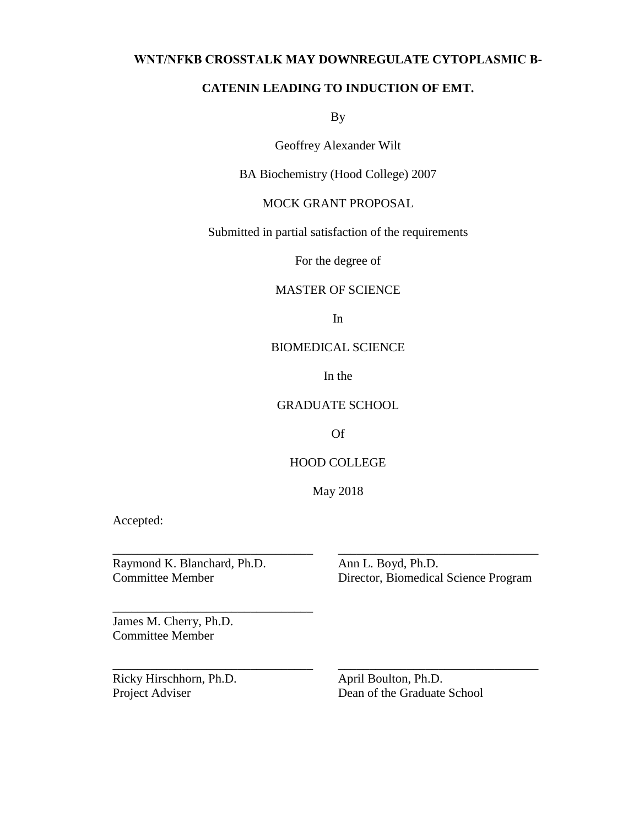## **WNT/NFΚB CROSSTALK MAY DOWNREGULATE CYTOPLASMIC Β-**

## **CATENIN LEADING TO INDUCTION OF EMT.**

By

Geoffrey Alexander Wilt

BA Biochemistry (Hood College) 2007

# MOCK GRANT PROPOSAL

Submitted in partial satisfaction of the requirements

For the degree of

# MASTER OF SCIENCE

In

## BIOMEDICAL SCIENCE

In the

### GRADUATE SCHOOL

Of

## HOOD COLLEGE

May 2018

\_\_\_\_\_\_\_\_\_\_\_\_\_\_\_\_\_\_\_\_\_\_\_\_\_\_\_\_\_\_\_\_ \_\_\_\_\_\_\_\_\_\_\_\_\_\_\_\_\_\_\_\_\_\_\_\_\_\_\_\_\_\_\_\_

\_\_\_\_\_\_\_\_\_\_\_\_\_\_\_\_\_\_\_\_\_\_\_\_\_\_\_\_\_\_\_\_ \_\_\_\_\_\_\_\_\_\_\_\_\_\_\_\_\_\_\_\_\_\_\_\_\_\_\_\_\_\_\_\_

Accepted:

Raymond K. Blanchard, Ph.D. Ann L. Boyd, Ph.D.

\_\_\_\_\_\_\_\_\_\_\_\_\_\_\_\_\_\_\_\_\_\_\_\_\_\_\_\_\_\_\_\_

Committee Member Director, Biomedical Science Program

James M. Cherry, Ph.D. Committee Member

Ricky Hirschhorn, Ph.D. April Boulton, Ph.D.

Project Adviser Dean of the Graduate School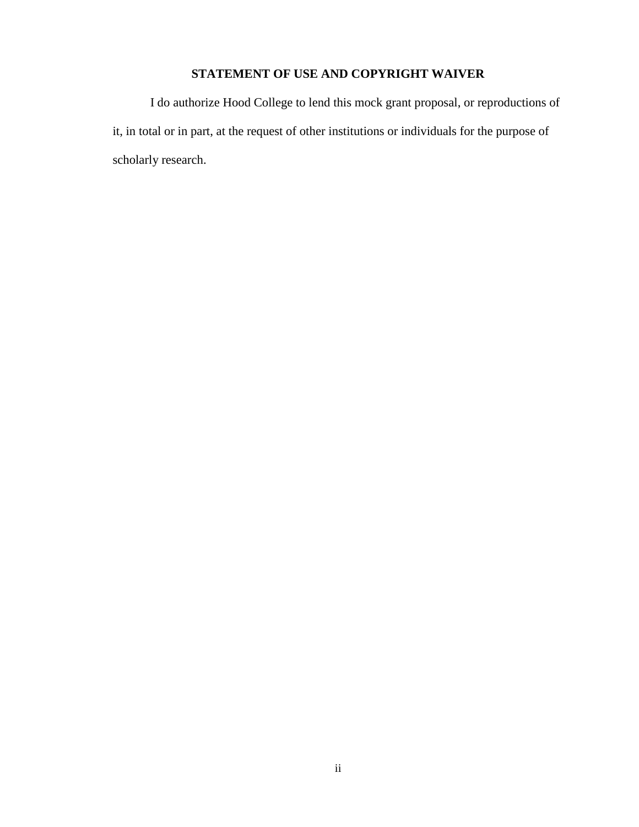# **STATEMENT OF USE AND COPYRIGHT WAIVER**

I do authorize Hood College to lend this mock grant proposal, or reproductions of it, in total or in part, at the request of other institutions or individuals for the purpose of scholarly research.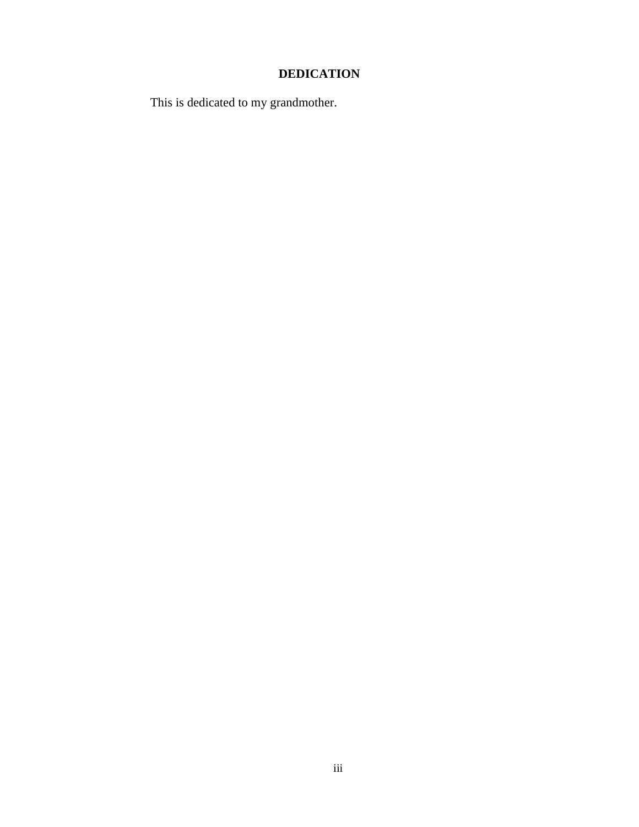# **DEDICATION**

This is dedicated to my grandmother.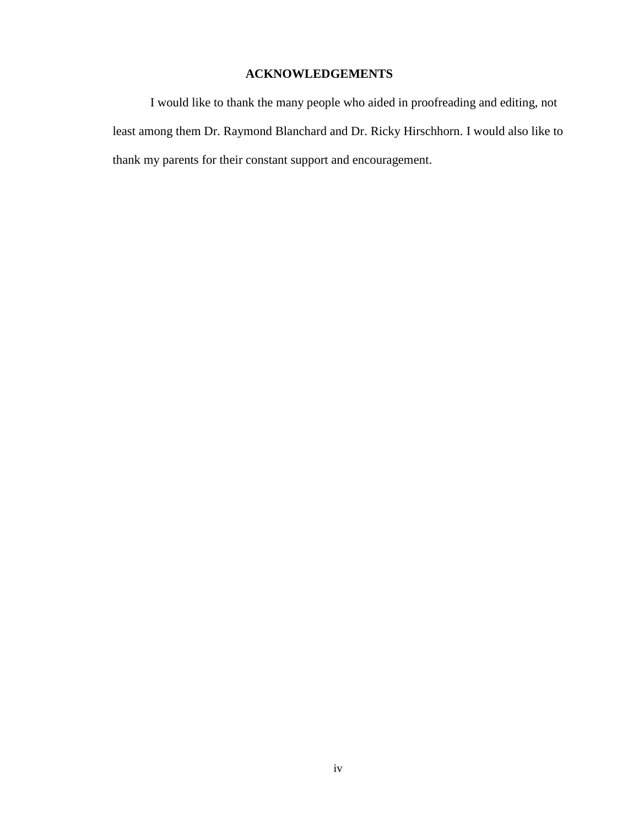# **ACKNOWLEDGEMENTS**

I would like to thank the many people who aided in proofreading and editing, not least among them Dr. Raymond Blanchard and Dr. Ricky Hirschhorn. I would also like to thank my parents for their constant support and encouragement.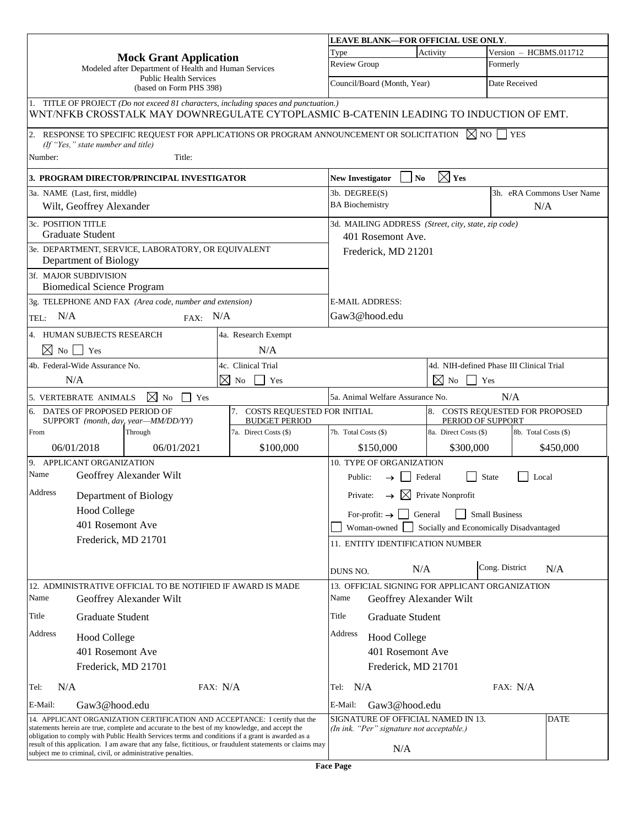|                                                                                                                                                                                                                                                                                  |                                                            |                                                             |                                                                                                                                                                                | LEAVE BLANK-FOR OFFICIAL USE ONLY.                                              |                                    |                                                     |                       |                           |
|----------------------------------------------------------------------------------------------------------------------------------------------------------------------------------------------------------------------------------------------------------------------------------|------------------------------------------------------------|-------------------------------------------------------------|--------------------------------------------------------------------------------------------------------------------------------------------------------------------------------|---------------------------------------------------------------------------------|------------------------------------|-----------------------------------------------------|-----------------------|---------------------------|
|                                                                                                                                                                                                                                                                                  |                                                            | <b>Mock Grant Application</b>                               |                                                                                                                                                                                | Type                                                                            | Activity<br>Version - HCBMS.011712 |                                                     |                       |                           |
|                                                                                                                                                                                                                                                                                  |                                                            | Modeled after Department of Health and Human Services       |                                                                                                                                                                                | Review Group                                                                    |                                    |                                                     | Formerly              |                           |
|                                                                                                                                                                                                                                                                                  |                                                            | <b>Public Health Services</b><br>(based on Form PHS 398)    |                                                                                                                                                                                | Council/Board (Month, Year)<br>Date Received                                    |                                    |                                                     |                       |                           |
|                                                                                                                                                                                                                                                                                  |                                                            |                                                             | 1. TITLE OF PROJECT (Do not exceed 81 characters, including spaces and punctuation.)<br>WNT/NFKB CROSSTALK MAY DOWNREGULATE CYTOPLASMIC B-CATENIN LEADING TO INDUCTION OF EMT. |                                                                                 |                                    |                                                     |                       |                           |
|                                                                                                                                                                                                                                                                                  |                                                            |                                                             | $ 2.$ RESPONSE TO SPECIFIC REQUEST FOR APPLICATIONS OR PROGRAM ANNOUNCEMENT OR SOLICITATION $\boxtimes$ NO $ $                                                                 |                                                                                 |                                    |                                                     | <b>YES</b>            |                           |
| Number:                                                                                                                                                                                                                                                                          | (If "Yes," state number and title)                         | Title:                                                      |                                                                                                                                                                                |                                                                                 |                                    |                                                     |                       |                           |
|                                                                                                                                                                                                                                                                                  |                                                            | <b>3. PROGRAM DIRECTOR/PRINCIPAL INVESTIGATOR</b>           |                                                                                                                                                                                | <b>New Investigator</b>                                                         | N <sub>0</sub>                     | $\boxtimes$ Yes                                     |                       |                           |
|                                                                                                                                                                                                                                                                                  | 3a. NAME (Last, first, middle)                             |                                                             |                                                                                                                                                                                | 3b. DEGREE(S)                                                                   |                                    |                                                     |                       | 3h. eRA Commons User Name |
|                                                                                                                                                                                                                                                                                  | Wilt, Geoffrey Alexander                                   |                                                             |                                                                                                                                                                                | <b>BA</b> Biochemistry                                                          |                                    |                                                     | N/A                   |                           |
| 3c. POSITION TITLE                                                                                                                                                                                                                                                               | <b>Graduate Student</b>                                    |                                                             |                                                                                                                                                                                |                                                                                 | 401 Rosemont Ave.                  | 3d. MAILING ADDRESS (Street, city, state, zip code) |                       |                           |
|                                                                                                                                                                                                                                                                                  | Department of Biology                                      | 3e. DEPARTMENT, SERVICE, LABORATORY, OR EQUIVALENT          |                                                                                                                                                                                |                                                                                 | Frederick, MD 21201                |                                                     |                       |                           |
|                                                                                                                                                                                                                                                                                  | 3f. MAJOR SUBDIVISION<br><b>Biomedical Science Program</b> |                                                             |                                                                                                                                                                                |                                                                                 |                                    |                                                     |                       |                           |
|                                                                                                                                                                                                                                                                                  |                                                            | 3g. TELEPHONE AND FAX (Area code, number and extension)     |                                                                                                                                                                                |                                                                                 | <b>E-MAIL ADDRESS:</b>             |                                                     |                       |                           |
| N/A<br>TEL:                                                                                                                                                                                                                                                                      |                                                            | FAX: N/A                                                    |                                                                                                                                                                                |                                                                                 | Gaw3@hood.edu                      |                                                     |                       |                           |
|                                                                                                                                                                                                                                                                                  | 4. HUMAN SUBJECTS RESEARCH                                 |                                                             | 4a. Research Exempt                                                                                                                                                            |                                                                                 |                                    |                                                     |                       |                           |
| $\boxtimes$ No $\Box$ Yes                                                                                                                                                                                                                                                        |                                                            |                                                             | N/A                                                                                                                                                                            |                                                                                 |                                    |                                                     |                       |                           |
|                                                                                                                                                                                                                                                                                  | 4b. Federal-Wide Assurance No.                             |                                                             | 4c. Clinical Trial                                                                                                                                                             |                                                                                 |                                    | 4d. NIH-defined Phase III Clinical Trial            |                       |                           |
|                                                                                                                                                                                                                                                                                  | N/A                                                        |                                                             | $\boxtimes$<br>No<br>Yes                                                                                                                                                       |                                                                                 |                                    | $\boxtimes$<br>No                                   | Yes                   |                           |
|                                                                                                                                                                                                                                                                                  | 5. VERTEBRATE ANIMALS                                      | $\boxtimes$ No<br>Yes                                       |                                                                                                                                                                                |                                                                                 | 5a. Animal Welfare Assurance No.   |                                                     | N/A                   |                           |
| 6.                                                                                                                                                                                                                                                                               | DATES OF PROPOSED PERIOD OF                                | SUPPORT (month, day, year-MM/DD/YY)                         | 7. COSTS REQUESTED FOR INITIAL<br><b>BUDGET PERIOD</b>                                                                                                                         | 8. COSTS REQUESTED FOR PROPOSED<br>PERIOD OF SUPPORT                            |                                    |                                                     |                       |                           |
| From                                                                                                                                                                                                                                                                             |                                                            | Through                                                     | 7a. Direct Costs (\$)                                                                                                                                                          | 7b. Total Costs (\$)                                                            |                                    | 8a. Direct Costs (\$)                               | 8b. Total Costs (\$)  |                           |
|                                                                                                                                                                                                                                                                                  | 06/01/2018                                                 | 06/01/2021                                                  | \$100,000                                                                                                                                                                      |                                                                                 | \$150,000                          | \$300,000                                           |                       | \$450,000                 |
|                                                                                                                                                                                                                                                                                  | 9. APPLICANT ORGANIZATION                                  |                                                             |                                                                                                                                                                                |                                                                                 | 10. TYPE OF ORGANIZATION           |                                                     |                       |                           |
| Name                                                                                                                                                                                                                                                                             |                                                            | Geoffrey Alexander Wilt                                     |                                                                                                                                                                                | Public:                                                                         | $\rightarrow$                      | Federal                                             | <b>State</b><br>Local |                           |
| Address                                                                                                                                                                                                                                                                          |                                                            | Department of Biology                                       |                                                                                                                                                                                | Private:                                                                        |                                    | $\rightarrow \Box$ Private Nonprofit                |                       |                           |
|                                                                                                                                                                                                                                                                                  | <b>Hood College</b>                                        |                                                             |                                                                                                                                                                                |                                                                                 | For-profit: $\rightarrow$ General  |                                                     | <b>Small Business</b> |                           |
|                                                                                                                                                                                                                                                                                  | 401 Rosemont Ave                                           |                                                             |                                                                                                                                                                                | Woman-owned<br>Socially and Economically Disadvantaged                          |                                    |                                                     |                       |                           |
|                                                                                                                                                                                                                                                                                  | Frederick, MD 21701                                        |                                                             |                                                                                                                                                                                |                                                                                 | 11. ENTITY IDENTIFICATION NUMBER   |                                                     |                       |                           |
|                                                                                                                                                                                                                                                                                  |                                                            |                                                             |                                                                                                                                                                                | DUNS NO.                                                                        | N/A                                |                                                     | Cong. District        | N/A                       |
|                                                                                                                                                                                                                                                                                  |                                                            | 12. ADMINISTRATIVE OFFICIAL TO BE NOTIFIED IF AWARD IS MADE |                                                                                                                                                                                |                                                                                 |                                    | 13. OFFICIAL SIGNING FOR APPLICANT ORGANIZATION     |                       |                           |
| Name                                                                                                                                                                                                                                                                             |                                                            | Geoffrey Alexander Wilt                                     |                                                                                                                                                                                | Name                                                                            | Geoffrey Alexander Wilt            |                                                     |                       |                           |
| Title<br><b>Graduate Student</b>                                                                                                                                                                                                                                                 |                                                            |                                                             | Title                                                                                                                                                                          | <b>Graduate Student</b>                                                         |                                    |                                                     |                       |                           |
| Address<br><b>Hood College</b>                                                                                                                                                                                                                                                   |                                                            |                                                             | Address                                                                                                                                                                        | <b>Hood College</b>                                                             |                                    |                                                     |                       |                           |
| 401 Rosemont Ave                                                                                                                                                                                                                                                                 |                                                            |                                                             |                                                                                                                                                                                | 401 Rosemont Ave                                                                |                                    |                                                     |                       |                           |
| Frederick, MD 21701                                                                                                                                                                                                                                                              |                                                            |                                                             |                                                                                                                                                                                |                                                                                 | Frederick, MD 21701                |                                                     |                       |                           |
| N/A<br>Tel:                                                                                                                                                                                                                                                                      |                                                            | FAX: $N/A$                                                  |                                                                                                                                                                                | Tel: N/A                                                                        |                                    |                                                     | FAX: $N/A$            |                           |
| E-Mail:                                                                                                                                                                                                                                                                          | Gaw3@hood.edu                                              |                                                             |                                                                                                                                                                                | E-Mail:                                                                         | Gaw3@hood.edu                      |                                                     |                       |                           |
| 14. APPLICANT ORGANIZATION CERTIFICATION AND ACCEPTANCE: I certify that the<br>statements herein are true, complete and accurate to the best of my knowledge, and accept the<br>obligation to comply with Public Health Services terms and conditions if a grant is awarded as a |                                                            |                                                             |                                                                                                                                                                                | SIGNATURE OF OFFICIAL NAMED IN 13.<br>(In ink. "Per" signature not acceptable.) |                                    |                                                     | <b>DATE</b>           |                           |
| result of this application. I am aware that any false, fictitious, or fraudulent statements or claims may<br>subject me to criminal, civil, or administrative penalties.                                                                                                         |                                                            |                                                             |                                                                                                                                                                                |                                                                                 | N/A                                |                                                     |                       |                           |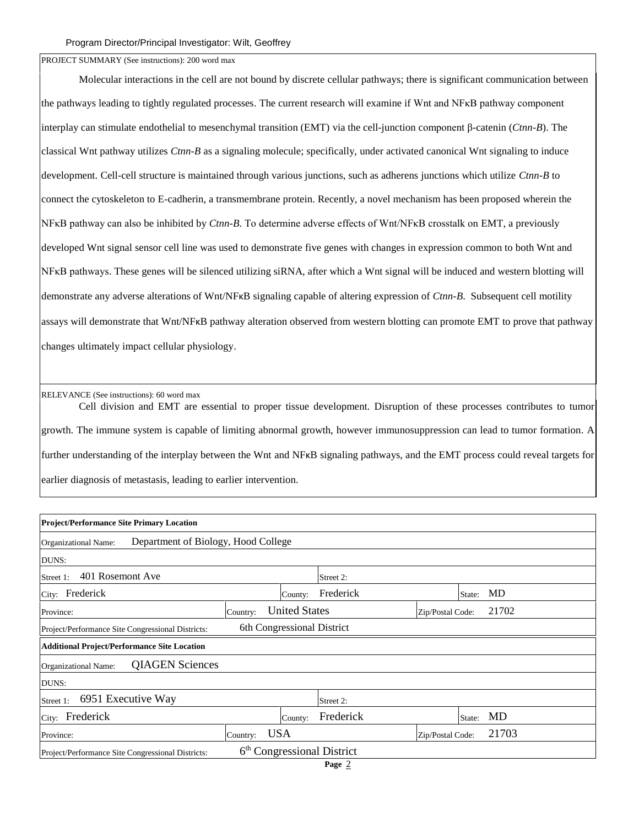PROJECT SUMMARY (See instructions): 200 word max

Molecular interactions in the cell are not bound by discrete cellular pathways; there is significant communication between the pathways leading to tightly regulated processes. The current research will examine if Wnt and NFκB pathway component interplay can stimulate endothelial to mesenchymal transition (EMT) via the cell-junction component β-catenin (*Ctnn-B*). The classical Wnt pathway utilizes *Ctnn-B* as a signaling molecule; specifically, under activated canonical Wnt signaling to induce development. Cell-cell structure is maintained through various junctions, such as adherens junctions which utilize *Ctnn-B* to connect the cytoskeleton to E-cadherin, a transmembrane protein. Recently, a novel mechanism has been proposed wherein the NFκB pathway can also be inhibited by *Ctnn-B*. To determine adverse effects of Wnt/NFκB crosstalk on EMT, a previously developed Wnt signal sensor cell line was used to demonstrate five genes with changes in expression common to both Wnt and NFκB pathways. These genes will be silenced utilizing siRNA, after which a Wnt signal will be induced and western blotting will demonstrate any adverse alterations of Wnt/NFκB signaling capable of altering expression of *Ctnn-B*. Subsequent cell motility assays will demonstrate that Wnt/NFκB pathway alteration observed from western blotting can promote EMT to prove that pathway changes ultimately impact cellular physiology.

RELEVANCE (See instructions): 60 word max

Cell division and EMT are essential to proper tissue development. Disruption of these processes contributes to tumor growth. The immune system is capable of limiting abnormal growth, however immunosuppression can lead to tumor formation. A further understanding of the interplay between the Wnt and NFκB signaling pathways, and the EMT process could reveal targets for earlier diagnosis of metastasis, leading to earlier intervention.

| <b>Project/Performance Site Primary Location</b>                                            |          |                            |           |                  |        |       |
|---------------------------------------------------------------------------------------------|----------|----------------------------|-----------|------------------|--------|-------|
| Department of Biology, Hood College<br>Organizational Name:                                 |          |                            |           |                  |        |       |
| DUNS:                                                                                       |          |                            |           |                  |        |       |
| 401 Rosemont Ave<br>Street 1:<br>Street 2:                                                  |          |                            |           |                  |        |       |
| City: Frederick                                                                             |          | County:                    | Frederick |                  | State: | MD    |
| Province:                                                                                   | Country: | <b>United States</b>       |           | Zip/Postal Code: |        | 21702 |
| Project/Performance Site Congressional Districts:                                           |          | 6th Congressional District |           |                  |        |       |
| <b>Additional Project/Performance Site Location</b>                                         |          |                            |           |                  |        |       |
| <b>QIAGEN Sciences</b><br>Organizational Name:                                              |          |                            |           |                  |        |       |
| DUNS:                                                                                       |          |                            |           |                  |        |       |
| 6951 Executive Way<br>Street 1:<br>Street 2:                                                |          |                            |           |                  |        |       |
| Frederick<br>City:                                                                          |          | County:                    | Frederick |                  | State: | MD    |
| Province:                                                                                   | Country: | <b>USA</b>                 |           | Zip/Postal Code: |        | 21703 |
| 6 <sup>th</sup> Congressional District<br>Project/Performance Site Congressional Districts: |          |                            |           |                  |        |       |
|                                                                                             |          |                            |           |                  |        |       |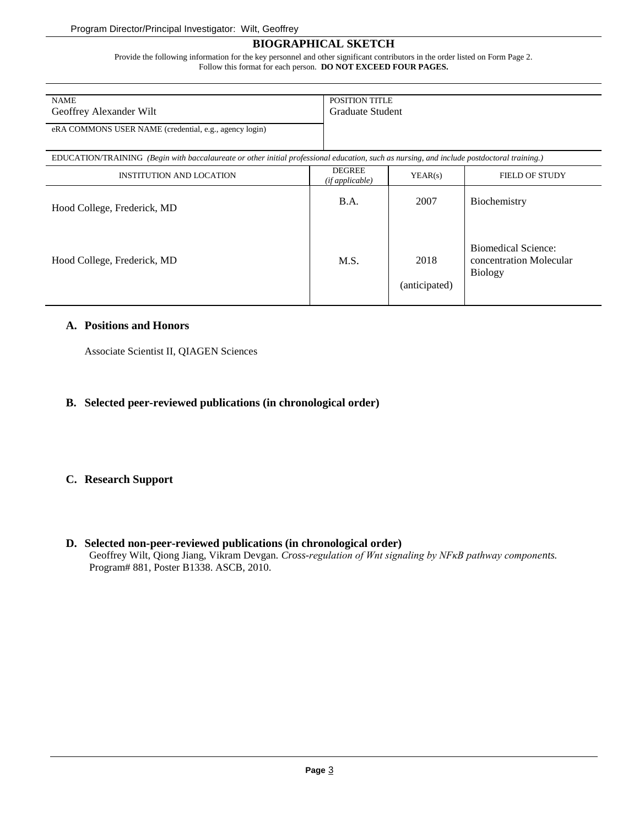## **BIOGRAPHICAL SKETCH**

Provide the following information for the key personnel and other significant contributors in the order listed on Form Page 2. Follow this format for each person. **DO NOT EXCEED FOUR PAGES.**

| <b>NAME</b><br>Geoffrey Alexander Wilt                                                                                                     |                                  | POSITION TITLE<br>Graduate Student |                                                                  |  |  |
|--------------------------------------------------------------------------------------------------------------------------------------------|----------------------------------|------------------------------------|------------------------------------------------------------------|--|--|
| eRA COMMONS USER NAME (credential, e.g., agency login)                                                                                     |                                  |                                    |                                                                  |  |  |
| EDUCATION/TRAINING (Begin with baccalaureate or other initial professional education, such as nursing, and include postdoctoral training.) |                                  |                                    |                                                                  |  |  |
| <b>INSTITUTION AND LOCATION</b>                                                                                                            | <b>DEGREE</b><br>(if applicable) | YEAR(s)                            | <b>FIELD OF STUDY</b>                                            |  |  |
| Hood College, Frederick, MD                                                                                                                | B.A.                             | 2007                               | Biochemistry                                                     |  |  |
| Hood College, Frederick, MD                                                                                                                | M.S.                             | 2018<br>(anticipated)              | Biomedical Science:<br>concentration Molecular<br><b>Biology</b> |  |  |

#### **A. Positions and Honors**

Associate Scientist II, QIAGEN Sciences

## **B. Selected peer-reviewed publications (in chronological order)**

## **C. Research Support**

**D. Selected non-peer-reviewed publications (in chronological order)** Geoffrey Wilt, Qiong Jiang, Vikram Devgan. *Cross-regulation of Wnt signaling by NFκB pathway components.*  Program# 881, Poster B1338. ASCB, 2010.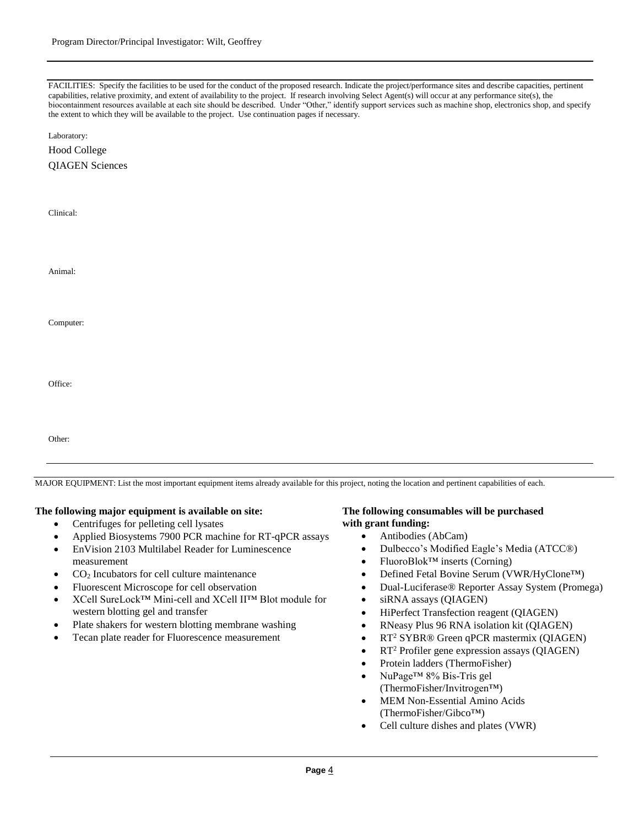capabilities, relative proximity, and extent of availability to the project. If research involving Select Agent(s) will occur at any performance site(s), the FACILITIES: Specify the facilities to be used for the conduct of the proposed research. Indicate the project/performance sites and describe capacities, pertinent biocontainment resources available at each site should be described. Under "Other," identify support services such as machine shop, electronics shop, and specify the extent to which they will be available to the project. Use continuation pages if necessary.

Laboratory:

Hood College  $OIAGEN$  Sei

| QIAGEN Sciences |  |
|-----------------|--|
|                 |  |

| Clinical: |  |  |  |
|-----------|--|--|--|
| Animal:   |  |  |  |
| Computer: |  |  |  |
| Office:   |  |  |  |
| Other:    |  |  |  |

MAJOR EQUIPMENT: List the most important equipment items already available for this project, noting the location and pertinent capabilities of each.

#### **The following major equipment is available on site:**

- Centrifuges for pelleting cell lysates
- Applied Biosystems 7900 PCR machine for RT-qPCR assays
- EnVision 2103 Multilabel Reader for Luminescence measurement
- CO<sup>2</sup> Incubators for cell culture maintenance
- Fluorescent Microscope for cell observation
- XCell SureLock™ Mini-cell and XCell II™ Blot module for western blotting gel and transfer
- Plate shakers for western blotting membrane washing
- Tecan plate reader for Fluorescence measurement

#### **The following consumables will be purchased with grant funding:**

- Antibodies (AbCam)
- Dulbecco's Modified Eagle's Media (ATCC®)
- FluoroBlok<sup>™</sup> inserts (Corning)
- Defined Fetal Bovine Serum (VWR/HyClone™)
- Dual-Luciferase® Reporter Assay System (Promega)
- siRNA assays (QIAGEN)
- HiPerfect Transfection reagent (QIAGEN)
- RNeasy Plus 96 RNA isolation kit (QIAGEN)
- RT<sup>2</sup> SYBR® Green qPCR mastermix (QIAGEN)
- RT<sup>2</sup> Profiler gene expression assays (QIAGEN)
- Protein ladders (ThermoFisher)
- NuPage™ 8% Bis-Tris gel (ThermoFisher/Invitrogen™)
- MEM Non-Essential Amino Acids (ThermoFisher/Gibco™)
- Cell culture dishes and plates (VWR)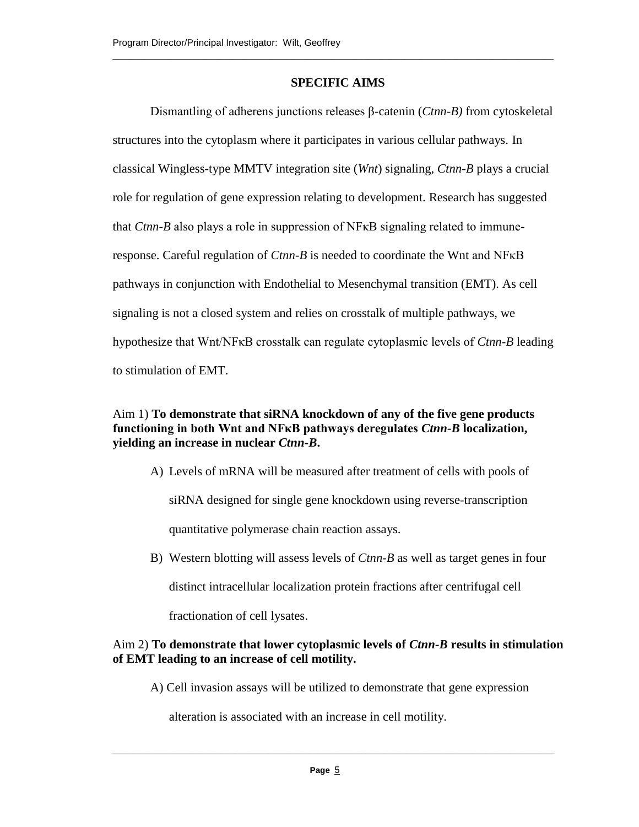## **SPECIFIC AIMS**

\_\_\_\_\_\_\_\_\_\_\_\_\_\_\_\_\_\_\_\_\_\_\_\_\_\_\_\_\_\_\_\_\_\_\_\_\_\_\_\_\_\_\_\_\_\_\_\_\_\_\_\_\_\_\_\_\_\_\_\_\_\_\_\_\_\_\_\_\_\_\_\_\_\_\_\_\_\_\_\_\_\_\_\_\_\_\_\_\_\_\_\_\_\_\_

Dismantling of adherens junctions releases β-catenin (*Ctnn-B)* from cytoskeletal structures into the cytoplasm where it participates in various cellular pathways. In classical Wingless-type MMTV integration site (*Wnt*) signaling, *Ctnn-B* plays a crucial role for regulation of gene expression relating to development. Research has suggested that *Ctnn-B* also plays a role in suppression of NFκB signaling related to immuneresponse. Careful regulation of *Ctnn-B* is needed to coordinate the Wnt and NFκB pathways in conjunction with Endothelial to Mesenchymal transition (EMT). As cell signaling is not a closed system and relies on crosstalk of multiple pathways, we hypothesize that Wnt/NFκB crosstalk can regulate cytoplasmic levels of *Ctnn-B* leading to stimulation of EMT.

# Aim 1) **To demonstrate that siRNA knockdown of any of the five gene products functioning in both Wnt and NFκB pathways deregulates** *Ctnn-B* **localization, yielding an increase in nuclear** *Ctnn-B***.**

A) Levels of mRNA will be measured after treatment of cells with pools of

siRNA designed for single gene knockdown using reverse-transcription

quantitative polymerase chain reaction assays.

B) Western blotting will assess levels of *Ctnn-B* as well as target genes in four distinct intracellular localization protein fractions after centrifugal cell fractionation of cell lysates.

# Aim 2) **To demonstrate that lower cytoplasmic levels of** *Ctnn-B* **results in stimulation of EMT leading to an increase of cell motility.**

A) Cell invasion assays will be utilized to demonstrate that gene expression

alteration is associated with an increase in cell motility.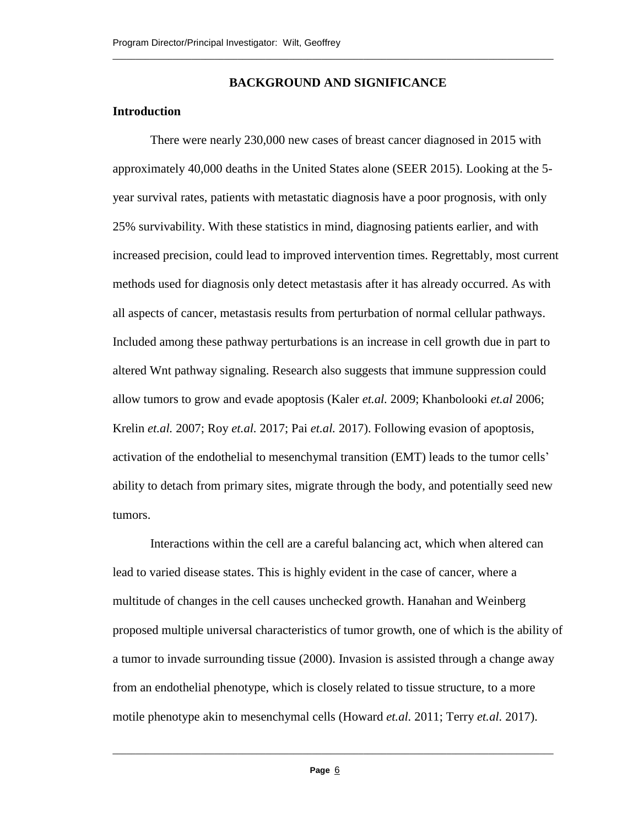## **BACKGROUND AND SIGNIFICANCE**

\_\_\_\_\_\_\_\_\_\_\_\_\_\_\_\_\_\_\_\_\_\_\_\_\_\_\_\_\_\_\_\_\_\_\_\_\_\_\_\_\_\_\_\_\_\_\_\_\_\_\_\_\_\_\_\_\_\_\_\_\_\_\_\_\_\_\_\_\_\_\_\_\_\_\_\_\_\_\_\_\_\_\_\_\_\_\_\_\_\_\_\_\_\_\_

## **Introduction**

There were nearly 230,000 new cases of breast cancer diagnosed in 2015 with approximately 40,000 deaths in the United States alone (SEER 2015). Looking at the 5 year survival rates, patients with metastatic diagnosis have a poor prognosis, with only 25% survivability. With these statistics in mind, diagnosing patients earlier, and with increased precision, could lead to improved intervention times. Regrettably, most current methods used for diagnosis only detect metastasis after it has already occurred. As with all aspects of cancer, metastasis results from perturbation of normal cellular pathways. Included among these pathway perturbations is an increase in cell growth due in part to altered Wnt pathway signaling. Research also suggests that immune suppression could allow tumors to grow and evade apoptosis (Kaler *et.al.* 2009; Khanbolooki *et.al* 2006; Krelin *et.al.* 2007; Roy *et.al.* 2017; Pai *et.al.* 2017). Following evasion of apoptosis, activation of the endothelial to mesenchymal transition (EMT) leads to the tumor cells' ability to detach from primary sites, migrate through the body, and potentially seed new tumors.

Interactions within the cell are a careful balancing act, which when altered can lead to varied disease states. This is highly evident in the case of cancer, where a multitude of changes in the cell causes unchecked growth. Hanahan and Weinberg proposed multiple universal characteristics of tumor growth, one of which is the ability of a tumor to invade surrounding tissue (2000). Invasion is assisted through a change away from an endothelial phenotype, which is closely related to tissue structure, to a more motile phenotype akin to mesenchymal cells (Howard *et.al.* 2011; Terry *et.al.* 2017).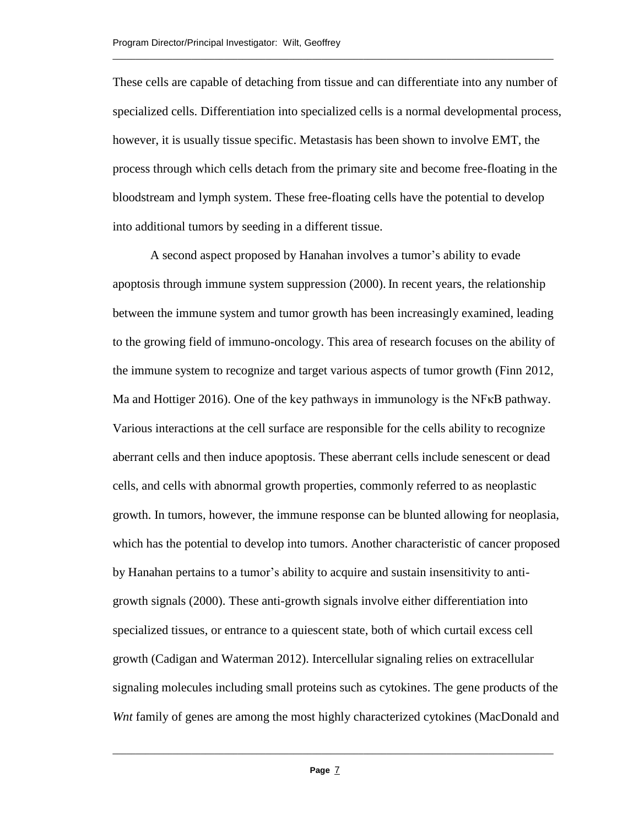These cells are capable of detaching from tissue and can differentiate into any number of specialized cells. Differentiation into specialized cells is a normal developmental process, however, it is usually tissue specific. Metastasis has been shown to involve EMT, the process through which cells detach from the primary site and become free-floating in the bloodstream and lymph system. These free-floating cells have the potential to develop into additional tumors by seeding in a different tissue.

\_\_\_\_\_\_\_\_\_\_\_\_\_\_\_\_\_\_\_\_\_\_\_\_\_\_\_\_\_\_\_\_\_\_\_\_\_\_\_\_\_\_\_\_\_\_\_\_\_\_\_\_\_\_\_\_\_\_\_\_\_\_\_\_\_\_\_\_\_\_\_\_\_\_\_\_\_\_\_\_\_\_\_\_\_\_\_\_\_\_\_\_\_\_\_

A second aspect proposed by Hanahan involves a tumor's ability to evade apoptosis through immune system suppression (2000). In recent years, the relationship between the immune system and tumor growth has been increasingly examined, leading to the growing field of immuno-oncology. This area of research focuses on the ability of the immune system to recognize and target various aspects of tumor growth (Finn 2012, Ma and Hottiger 2016). One of the key pathways in immunology is the NFκB pathway. Various interactions at the cell surface are responsible for the cells ability to recognize aberrant cells and then induce apoptosis. These aberrant cells include senescent or dead cells, and cells with abnormal growth properties, commonly referred to as neoplastic growth. In tumors, however, the immune response can be blunted allowing for neoplasia, which has the potential to develop into tumors. Another characteristic of cancer proposed by Hanahan pertains to a tumor's ability to acquire and sustain insensitivity to antigrowth signals (2000). These anti-growth signals involve either differentiation into specialized tissues, or entrance to a quiescent state, both of which curtail excess cell growth (Cadigan and Waterman 2012). Intercellular signaling relies on extracellular signaling molecules including small proteins such as cytokines. The gene products of the *Wnt* family of genes are among the most highly characterized cytokines (MacDonald and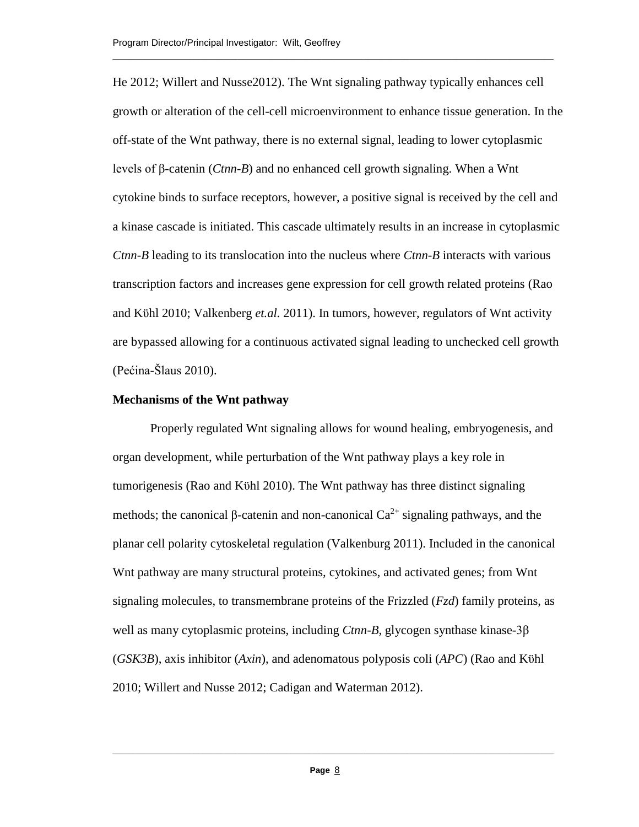He 2012; Willert and Nusse2012). The Wnt signaling pathway typically enhances cell growth or alteration of the cell-cell microenvironment to enhance tissue generation. In the off-state of the Wnt pathway, there is no external signal, leading to lower cytoplasmic levels of β-catenin (*Ctnn-B*) and no enhanced cell growth signaling. When a Wnt cytokine binds to surface receptors, however, a positive signal is received by the cell and a kinase cascade is initiated. This cascade ultimately results in an increase in cytoplasmic *Ctnn-B* leading to its translocation into the nucleus where *Ctnn-B* interacts with various transcription factors and increases gene expression for cell growth related proteins (Rao and Kϋhl 2010; Valkenberg *et.al.* 2011). In tumors, however, regulators of Wnt activity are bypassed allowing for a continuous activated signal leading to unchecked cell growth (Pećina-Šlaus 2010).

\_\_\_\_\_\_\_\_\_\_\_\_\_\_\_\_\_\_\_\_\_\_\_\_\_\_\_\_\_\_\_\_\_\_\_\_\_\_\_\_\_\_\_\_\_\_\_\_\_\_\_\_\_\_\_\_\_\_\_\_\_\_\_\_\_\_\_\_\_\_\_\_\_\_\_\_\_\_\_\_\_\_\_\_\_\_\_\_\_\_\_\_\_\_\_

#### **Mechanisms of the Wnt pathway**

Properly regulated Wnt signaling allows for wound healing, embryogenesis, and organ development, while perturbation of the Wnt pathway plays a key role in tumorigenesis (Rao and Kϋhl 2010). The Wnt pathway has three distinct signaling methods; the canonical β-catenin and non-canonical  $Ca^{2+}$  signaling pathways, and the planar cell polarity cytoskeletal regulation (Valkenburg 2011). Included in the canonical Wnt pathway are many structural proteins, cytokines, and activated genes; from Wnt signaling molecules, to transmembrane proteins of the Frizzled (*Fzd*) family proteins, as well as many cytoplasmic proteins, including *Ctnn-B*, glycogen synthase kinase-3β (*GSK3B*), axis inhibitor (*Axin*), and adenomatous polyposis coli (*APC*) (Rao and Kϋhl 2010; Willert and Nusse 2012; Cadigan and Waterman 2012).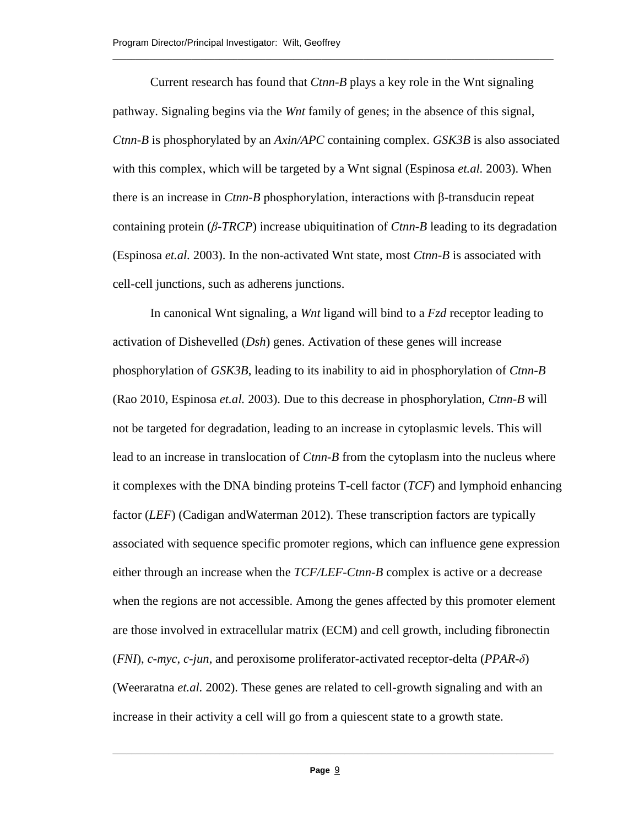Current research has found that *Ctnn-B* plays a key role in the Wnt signaling pathway. Signaling begins via the *Wnt* family of genes; in the absence of this signal, *Ctnn-B* is phosphorylated by an *Axin/APC* containing complex. *GSK3B* is also associated with this complex, which will be targeted by a Wnt signal (Espinosa *et.al.* 2003). When there is an increase in *Ctnn-B* phosphorylation, interactions with β-transducin repeat containing protein (*β-TRCP*) increase ubiquitination of *Ctnn-B* leading to its degradation (Espinosa *et.al.* 2003). In the non-activated Wnt state, most *Ctnn-B* is associated with cell-cell junctions, such as adherens junctions.

\_\_\_\_\_\_\_\_\_\_\_\_\_\_\_\_\_\_\_\_\_\_\_\_\_\_\_\_\_\_\_\_\_\_\_\_\_\_\_\_\_\_\_\_\_\_\_\_\_\_\_\_\_\_\_\_\_\_\_\_\_\_\_\_\_\_\_\_\_\_\_\_\_\_\_\_\_\_\_\_\_\_\_\_\_\_\_\_\_\_\_\_\_\_\_

In canonical Wnt signaling, a *Wnt* ligand will bind to a *Fzd* receptor leading to activation of Dishevelled (*Dsh*) genes. Activation of these genes will increase phosphorylation of *GSK3B*, leading to its inability to aid in phosphorylation of *Ctnn-B* (Rao 2010, Espinosa *et.al.* 2003). Due to this decrease in phosphorylation, *Ctnn-B* will not be targeted for degradation, leading to an increase in cytoplasmic levels. This will lead to an increase in translocation of *Ctnn-B* from the cytoplasm into the nucleus where it complexes with the DNA binding proteins T-cell factor (*TCF*) and lymphoid enhancing factor (*LEF*) (Cadigan andWaterman 2012). These transcription factors are typically associated with sequence specific promoter regions, which can influence gene expression either through an increase when the *TCF/LEF-Ctnn-B* complex is active or a decrease when the regions are not accessible. Among the genes affected by this promoter element are those involved in extracellular matrix (ECM) and cell growth, including fibronectin (*FNI*), *c-myc*, *c-jun*, and peroxisome proliferator-activated receptor-delta (*PPAR-δ*) (Weeraratna *et.al.* 2002). These genes are related to cell-growth signaling and with an increase in their activity a cell will go from a quiescent state to a growth state.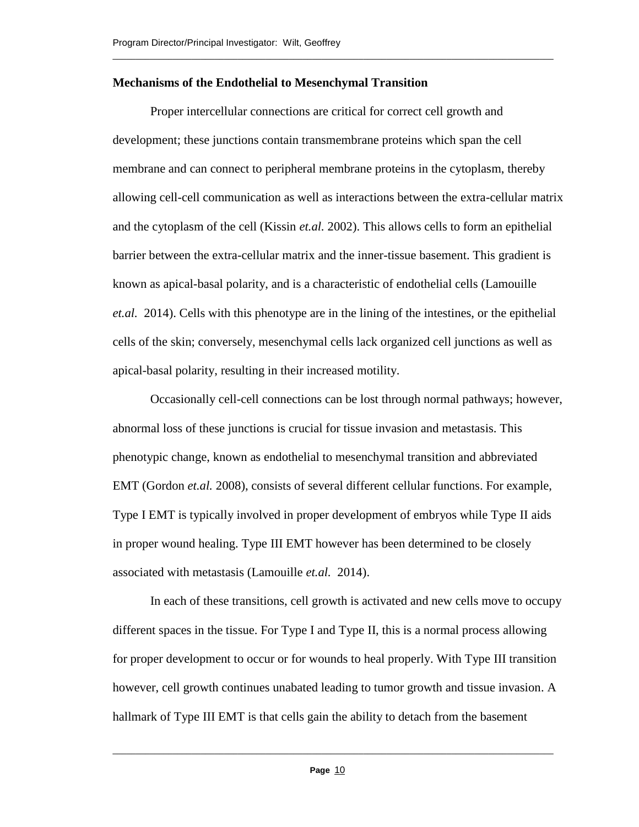## **Mechanisms of the Endothelial to Mesenchymal Transition**

Proper intercellular connections are critical for correct cell growth and development; these junctions contain transmembrane proteins which span the cell membrane and can connect to peripheral membrane proteins in the cytoplasm, thereby allowing cell-cell communication as well as interactions between the extra-cellular matrix and the cytoplasm of the cell (Kissin *et.al.* 2002). This allows cells to form an epithelial barrier between the extra-cellular matrix and the inner-tissue basement. This gradient is known as apical-basal polarity, and is a characteristic of endothelial cells (Lamouille *et.al.* 2014). Cells with this phenotype are in the lining of the intestines, or the epithelial cells of the skin; conversely, mesenchymal cells lack organized cell junctions as well as apical-basal polarity, resulting in their increased motility.

\_\_\_\_\_\_\_\_\_\_\_\_\_\_\_\_\_\_\_\_\_\_\_\_\_\_\_\_\_\_\_\_\_\_\_\_\_\_\_\_\_\_\_\_\_\_\_\_\_\_\_\_\_\_\_\_\_\_\_\_\_\_\_\_\_\_\_\_\_\_\_\_\_\_\_\_\_\_\_\_\_\_\_\_\_\_\_\_\_\_\_\_\_\_\_

Occasionally cell-cell connections can be lost through normal pathways; however, abnormal loss of these junctions is crucial for tissue invasion and metastasis. This phenotypic change, known as endothelial to mesenchymal transition and abbreviated EMT (Gordon *et.al.* 2008), consists of several different cellular functions. For example, Type I EMT is typically involved in proper development of embryos while Type II aids in proper wound healing. Type III EMT however has been determined to be closely associated with metastasis (Lamouille *et.al.* 2014).

In each of these transitions, cell growth is activated and new cells move to occupy different spaces in the tissue. For Type I and Type II, this is a normal process allowing for proper development to occur or for wounds to heal properly. With Type III transition however, cell growth continues unabated leading to tumor growth and tissue invasion. A hallmark of Type III EMT is that cells gain the ability to detach from the basement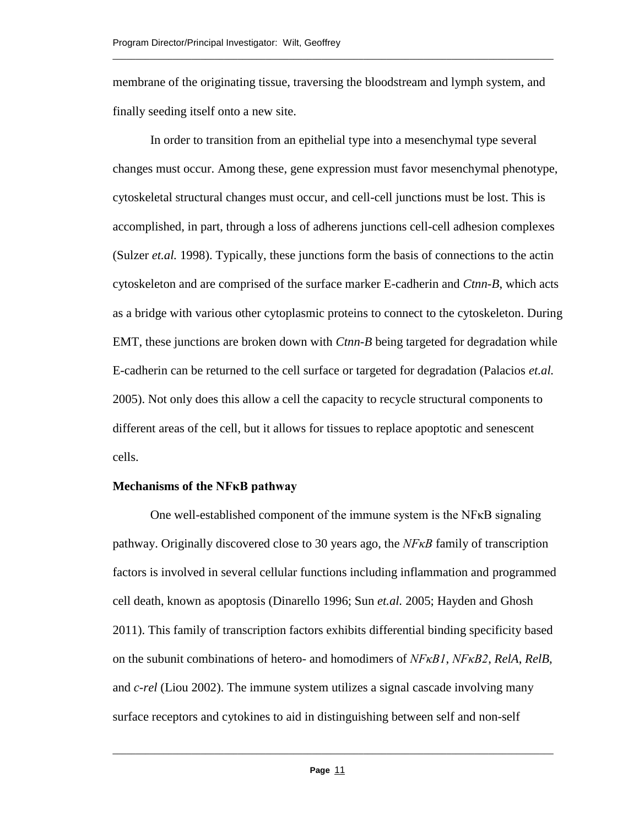membrane of the originating tissue, traversing the bloodstream and lymph system, and finally seeding itself onto a new site.

\_\_\_\_\_\_\_\_\_\_\_\_\_\_\_\_\_\_\_\_\_\_\_\_\_\_\_\_\_\_\_\_\_\_\_\_\_\_\_\_\_\_\_\_\_\_\_\_\_\_\_\_\_\_\_\_\_\_\_\_\_\_\_\_\_\_\_\_\_\_\_\_\_\_\_\_\_\_\_\_\_\_\_\_\_\_\_\_\_\_\_\_\_\_\_

In order to transition from an epithelial type into a mesenchymal type several changes must occur. Among these, gene expression must favor mesenchymal phenotype, cytoskeletal structural changes must occur, and cell-cell junctions must be lost. This is accomplished, in part, through a loss of adherens junctions cell-cell adhesion complexes (Sulzer *et.al.* 1998). Typically, these junctions form the basis of connections to the actin cytoskeleton and are comprised of the surface marker E-cadherin and *Ctnn-B*, which acts as a bridge with various other cytoplasmic proteins to connect to the cytoskeleton. During EMT, these junctions are broken down with *Ctnn-B* being targeted for degradation while E-cadherin can be returned to the cell surface or targeted for degradation (Palacios *et.al.*  2005). Not only does this allow a cell the capacity to recycle structural components to different areas of the cell, but it allows for tissues to replace apoptotic and senescent cells.

### **Mechanisms of the NFκB pathway**

One well-established component of the immune system is the NFκB signaling pathway. Originally discovered close to 30 years ago, the *NFκB* family of transcription factors is involved in several cellular functions including inflammation and programmed cell death, known as apoptosis (Dinarello 1996; Sun *et.al.* 2005; Hayden and Ghosh 2011). This family of transcription factors exhibits differential binding specificity based on the subunit combinations of hetero- and homodimers of *NFκB1*, *NFκB2*, *RelA*, *RelB*, and *c-rel* (Liou 2002). The immune system utilizes a signal cascade involving many surface receptors and cytokines to aid in distinguishing between self and non-self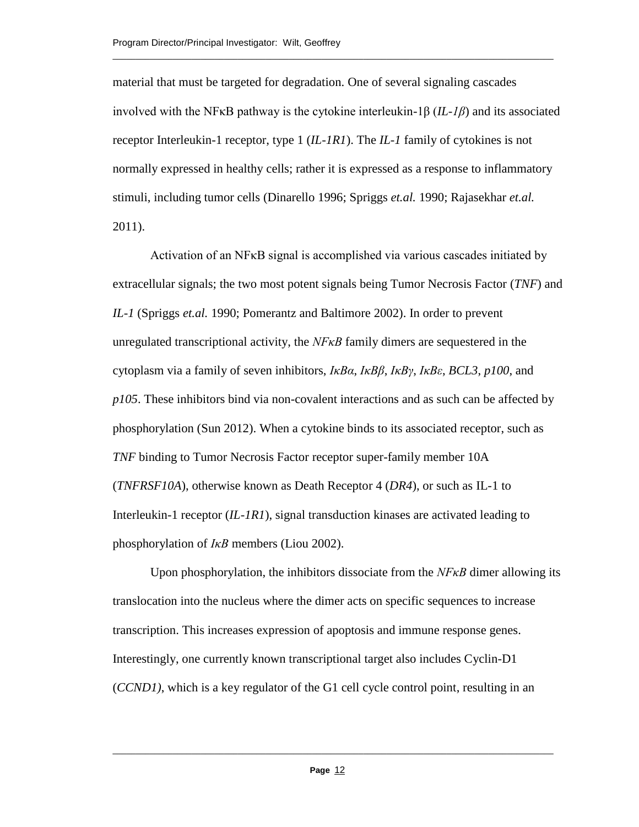material that must be targeted for degradation. One of several signaling cascades involved with the NFκB pathway is the cytokine interleukin-1β (*IL-1β*) and its associated receptor Interleukin-1 receptor, type 1 (*IL-1R1*). The *IL-1* family of cytokines is not normally expressed in healthy cells; rather it is expressed as a response to inflammatory stimuli, including tumor cells (Dinarello 1996; Spriggs *et.al.* 1990; Rajasekhar *et.al.*  2011).

\_\_\_\_\_\_\_\_\_\_\_\_\_\_\_\_\_\_\_\_\_\_\_\_\_\_\_\_\_\_\_\_\_\_\_\_\_\_\_\_\_\_\_\_\_\_\_\_\_\_\_\_\_\_\_\_\_\_\_\_\_\_\_\_\_\_\_\_\_\_\_\_\_\_\_\_\_\_\_\_\_\_\_\_\_\_\_\_\_\_\_\_\_\_\_

Activation of an NFKB signal is accomplished via various cascades initiated by extracellular signals; the two most potent signals being Tumor Necrosis Factor (*TNF*) and *IL-1* (Spriggs *et.al.* 1990; Pomerantz and Baltimore 2002). In order to prevent unregulated transcriptional activity, the *NFκB* family dimers are sequestered in the cytoplasm via a family of seven inhibitors, *IκBα*, *IκBβ*, *IκBγ*, *IκBε*, *BCL3*, *p100*, and *p105*. These inhibitors bind via non-covalent interactions and as such can be affected by phosphorylation (Sun 2012). When a cytokine binds to its associated receptor, such as *TNF* binding to Tumor Necrosis Factor receptor super-family member 10A (*TNFRSF10A*), otherwise known as Death Receptor 4 (*DR4*), or such as IL-1 to Interleukin-1 receptor (*IL-1R1*), signal transduction kinases are activated leading to phosphorylation of *IκB* members (Liou 2002).

Upon phosphorylation, the inhibitors dissociate from the *NFkB* dimer allowing its translocation into the nucleus where the dimer acts on specific sequences to increase transcription. This increases expression of apoptosis and immune response genes. Interestingly, one currently known transcriptional target also includes Cyclin-D1 (*CCND1)*, which is a key regulator of the G1 cell cycle control point, resulting in an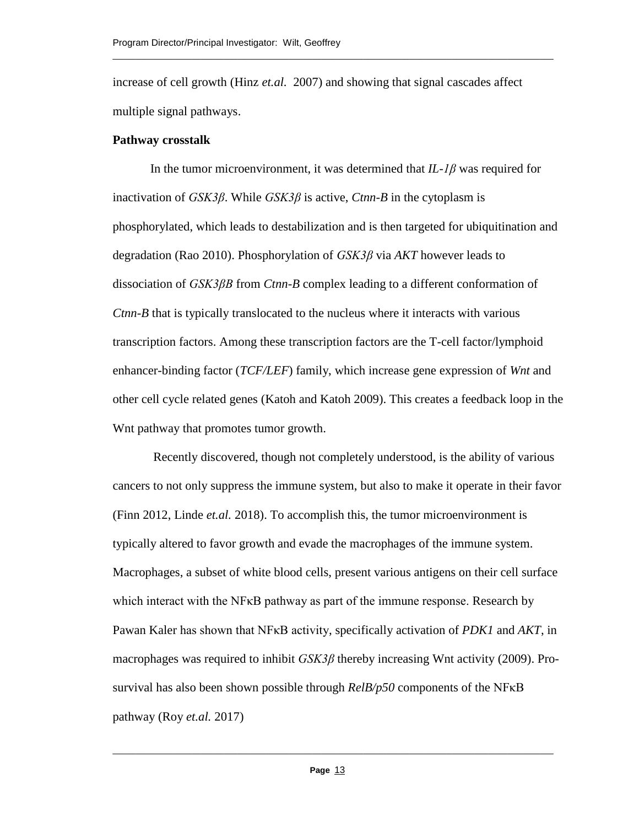increase of cell growth (Hinz *et.al.* 2007) and showing that signal cascades affect multiple signal pathways.

\_\_\_\_\_\_\_\_\_\_\_\_\_\_\_\_\_\_\_\_\_\_\_\_\_\_\_\_\_\_\_\_\_\_\_\_\_\_\_\_\_\_\_\_\_\_\_\_\_\_\_\_\_\_\_\_\_\_\_\_\_\_\_\_\_\_\_\_\_\_\_\_\_\_\_\_\_\_\_\_\_\_\_\_\_\_\_\_\_\_\_\_\_\_\_

#### **Pathway crosstalk**

In the tumor microenvironment, it was determined that *IL-1β* was required for inactivation of *GSK3β*. While *GSK3β* is active, *Ctnn-B* in the cytoplasm is phosphorylated, which leads to destabilization and is then targeted for ubiquitination and degradation (Rao 2010). Phosphorylation of *GSK3β* via *AKT* however leads to dissociation of *GSK3βB* from *Ctnn-B* complex leading to a different conformation of *Ctnn-B* that is typically translocated to the nucleus where it interacts with various transcription factors. Among these transcription factors are the T-cell factor/lymphoid enhancer-binding factor (*TCF/LEF*) family, which increase gene expression of *Wnt* and other cell cycle related genes (Katoh and Katoh 2009). This creates a feedback loop in the Wnt pathway that promotes tumor growth.

Recently discovered, though not completely understood, is the ability of various cancers to not only suppress the immune system, but also to make it operate in their favor (Finn 2012, Linde *et.al.* 2018). To accomplish this, the tumor microenvironment is typically altered to favor growth and evade the macrophages of the immune system. Macrophages, a subset of white blood cells, present various antigens on their cell surface which interact with the NF<sub>KB</sub> pathway as part of the immune response. Research by Pawan Kaler has shown that NFκB activity, specifically activation of *PDK1* and *AKT*, in macrophages was required to inhibit *GSK3β* thereby increasing Wnt activity (2009). Prosurvival has also been shown possible through *RelB/p50* components of the NFκB pathway (Roy *et.al.* 2017)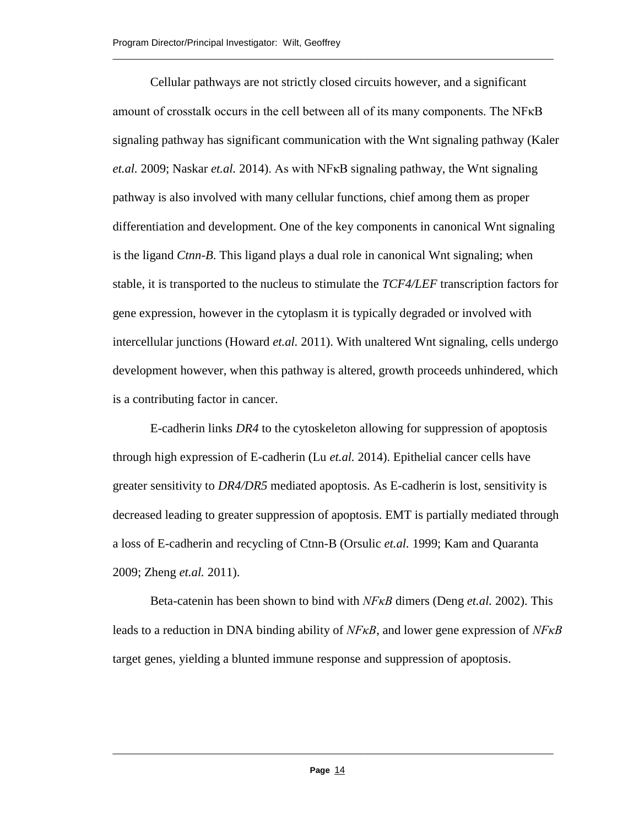Cellular pathways are not strictly closed circuits however, and a significant amount of crosstalk occurs in the cell between all of its many components. The NFκB signaling pathway has significant communication with the Wnt signaling pathway (Kaler *et.al.* 2009; Naskar *et.al.* 2014). As with NFκB signaling pathway, the Wnt signaling pathway is also involved with many cellular functions, chief among them as proper differentiation and development. One of the key components in canonical Wnt signaling is the ligand *Ctnn-B*. This ligand plays a dual role in canonical Wnt signaling; when stable, it is transported to the nucleus to stimulate the *TCF4/LEF* transcription factors for gene expression, however in the cytoplasm it is typically degraded or involved with intercellular junctions (Howard *et.al.* 2011). With unaltered Wnt signaling, cells undergo development however, when this pathway is altered, growth proceeds unhindered, which is a contributing factor in cancer.

\_\_\_\_\_\_\_\_\_\_\_\_\_\_\_\_\_\_\_\_\_\_\_\_\_\_\_\_\_\_\_\_\_\_\_\_\_\_\_\_\_\_\_\_\_\_\_\_\_\_\_\_\_\_\_\_\_\_\_\_\_\_\_\_\_\_\_\_\_\_\_\_\_\_\_\_\_\_\_\_\_\_\_\_\_\_\_\_\_\_\_\_\_\_\_

E-cadherin links *DR4* to the cytoskeleton allowing for suppression of apoptosis through high expression of E-cadherin (Lu *et.al.* 2014). Epithelial cancer cells have greater sensitivity to *DR4/DR5* mediated apoptosis. As E-cadherin is lost, sensitivity is decreased leading to greater suppression of apoptosis. EMT is partially mediated through a loss of E-cadherin and recycling of Ctnn-B (Orsulic *et.al.* 1999; Kam and Quaranta 2009; Zheng *et.al.* 2011).

Beta-catenin has been shown to bind with *NFκB* dimers (Deng *et.al.* 2002). This leads to a reduction in DNA binding ability of *NFκB*, and lower gene expression of *NFκB* target genes, yielding a blunted immune response and suppression of apoptosis.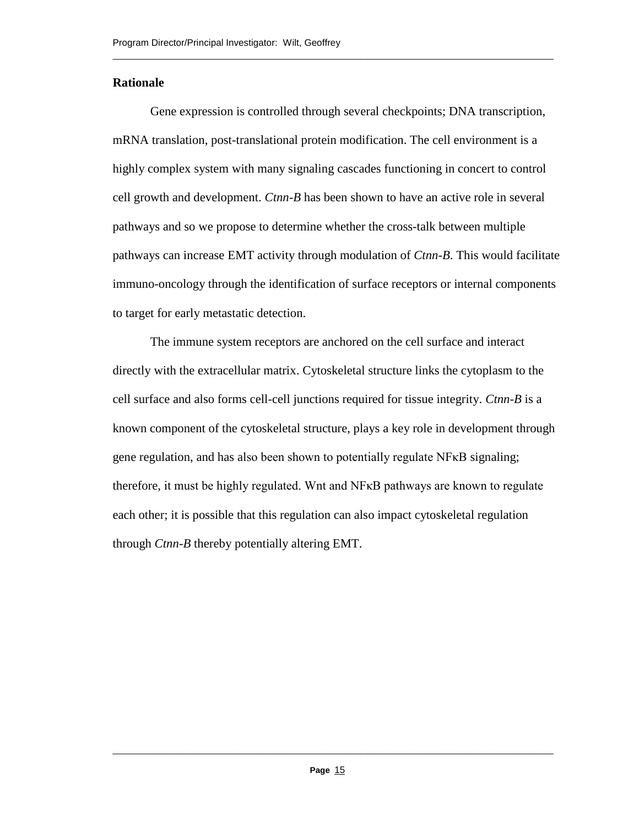## **Rationale**

Gene expression is controlled through several checkpoints; DNA transcription, mRNA translation, post-translational protein modification. The cell environment is a highly complex system with many signaling cascades functioning in concert to control cell growth and development. *Ctnn-B* has been shown to have an active role in several pathways and so we propose to determine whether the cross-talk between multiple pathways can increase EMT activity through modulation of *Ctnn-B*. This would facilitate immuno-oncology through the identification of surface receptors or internal components to target for early metastatic detection.

\_\_\_\_\_\_\_\_\_\_\_\_\_\_\_\_\_\_\_\_\_\_\_\_\_\_\_\_\_\_\_\_\_\_\_\_\_\_\_\_\_\_\_\_\_\_\_\_\_\_\_\_\_\_\_\_\_\_\_\_\_\_\_\_\_\_\_\_\_\_\_\_\_\_\_\_\_\_\_\_\_\_\_\_\_\_\_\_\_\_\_\_\_\_\_

The immune system receptors are anchored on the cell surface and interact directly with the extracellular matrix. Cytoskeletal structure links the cytoplasm to the cell surface and also forms cell-cell junctions required for tissue integrity. *Ctnn-B* is a known component of the cytoskeletal structure, plays a key role in development through gene regulation, and has also been shown to potentially regulate NFκB signaling; therefore, it must be highly regulated. Wnt and NFκB pathways are known to regulate each other; it is possible that this regulation can also impact cytoskeletal regulation through *Ctnn-B* thereby potentially altering EMT.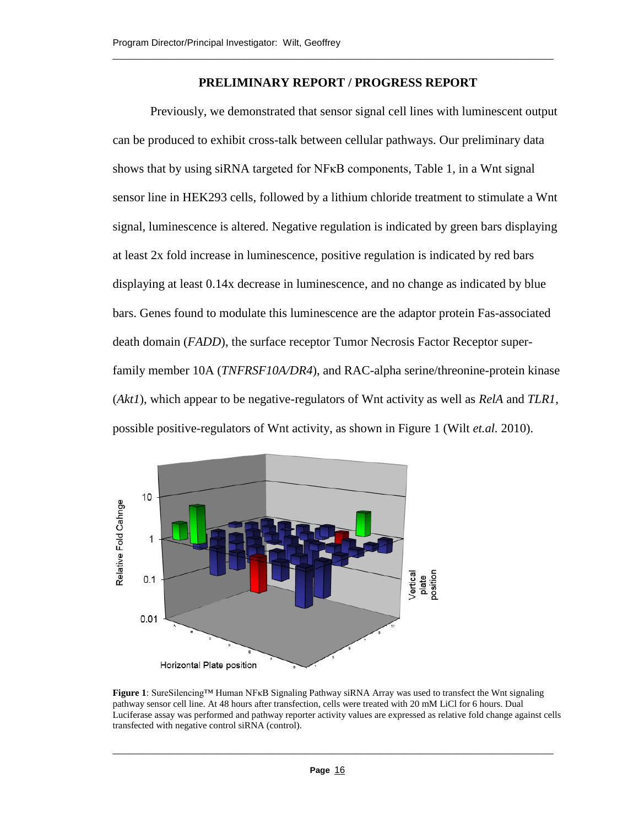### **PRELIMINARY REPORT / PROGRESS REPORT**

\_\_\_\_\_\_\_\_\_\_\_\_\_\_\_\_\_\_\_\_\_\_\_\_\_\_\_\_\_\_\_\_\_\_\_\_\_\_\_\_\_\_\_\_\_\_\_\_\_\_\_\_\_\_\_\_\_\_\_\_\_\_\_\_\_\_\_\_\_\_\_\_\_\_\_\_\_\_\_\_\_\_\_\_\_\_\_\_\_\_\_\_\_\_\_

Previously, we demonstrated that sensor signal cell lines with luminescent output can be produced to exhibit cross-talk between cellular pathways. Our preliminary data shows that by using siRNA targeted for NFκB components, Table 1, in a Wnt signal sensor line in HEK293 cells, followed by a lithium chloride treatment to stimulate a Wnt signal, luminescence is altered. Negative regulation is indicated by green bars displaying at least 2x fold increase in luminescence, positive regulation is indicated by red bars displaying at least 0.14x decrease in luminescence, and no change as indicated by blue bars. Genes found to modulate this luminescence are the adaptor protein Fas-associated death domain (*FADD*), the surface receptor Tumor Necrosis Factor Receptor superfamily member 10A (*TNFRSF10A/DR4*), and RAC-alpha serine/threonine-protein kinase (*Akt1*), which appear to be negative-regulators of Wnt activity as well as *RelA* and *TLR1*, possible positive-regulators of Wnt activity, as shown in Figure 1 (Wilt *et.al.* 2010).



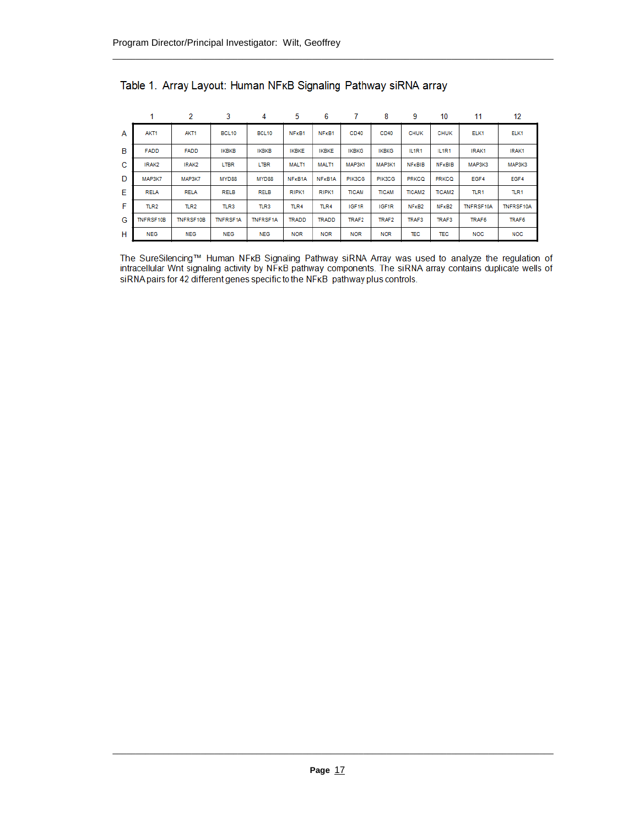|   |                  | 2                | 3                 | 4               | 5            | 6                              |              | 8                 | 9                              | 10                | 11        | 12           |
|---|------------------|------------------|-------------------|-----------------|--------------|--------------------------------|--------------|-------------------|--------------------------------|-------------------|-----------|--------------|
| A | AKT1             | AKT <sub>1</sub> | BCL <sub>10</sub> | <b>BCL10</b>    | NFKB1        | NF <sub>K</sub> B <sub>1</sub> | CD40         | CD40              | <b>CHUK</b>                    | <b>CHUK</b>       | ELK1      | ELK1         |
| B | <b>FADD</b>      | <b>FADD</b>      | <b>IKBKB</b>      | <b>IKBKB</b>    | <b>IKBKE</b> | <b>IKBKE</b>                   | <b>IKBKG</b> | <b>IKBKG</b>      | IL1R1                          | IL1R1             | IRAK1     | IRAK1        |
| C | IRAK2            | IRAK2            | LTBR              | <b>LTBR</b>     | MALT1        | MALT1                          | MAP3K1       | MAP3K1            | <b>NFKBIB</b>                  | <b>NFKBIB</b>     | МАРЗКЗ    | MAP3K3       |
| D | MAP3K7           | MAP3K7           | MYD88             | MYD88           | NFKB1A       | NFKB1A                         | PIK3CG       | PIK3CG            | <b>PRKCQ</b>                   | <b>PRKCQ</b>      | EGF4      | EGF4         |
| Е | <b>RELA</b>      | <b>RELA</b>      | <b>RELB</b>       | <b>RELB</b>     | RIPK1        | RIPK1                          | <b>TICAM</b> | <b>TICAM</b>      | <b>TICAM2</b>                  | <b>TICAM2</b>     | TLR1      | TLR1         |
| F | TLR <sub>2</sub> | TLR <sub>2</sub> | TLR3              | TLR3            | TLR4         | TLR4                           | IGF1R        | IGF <sub>1R</sub> | NF <sub>K</sub> B <sub>2</sub> | NF <sub>KB2</sub> | TNFRSF10A | TNFRSF10A    |
| G | TNFRSF10B        | TNFRSF10B        | <b>TNFRSF1A</b>   | <b>TNFRSF1A</b> | <b>TRADD</b> | <b>TRADD</b>                   | <b>TRAF2</b> | TRAF2             | TRAF3                          | TRAF3             | TRAF6     | <b>TRAF6</b> |
| н | <b>NEG</b>       | <b>NEG</b>       | <b>NEG</b>        | <b>NEG</b>      | <b>NOR</b>   | <b>NOR</b>                     | <b>NOR</b>   | <b>NOR</b>        | TEC                            | TEC               | NOC       | <b>NOC</b>   |

Table 1. Array Layout: Human NFKB Signaling Pathway siRNA array

The SureSilencing™ Human NFKB Signaling Pathway siRNA Array was used to analyze the regulation of intracellular Wnt signaling activity by NFKB pathway components. The siRNA array contains duplicate wells of siRNA pairs for 42 different genes specific to the NFKB pathway plus controls.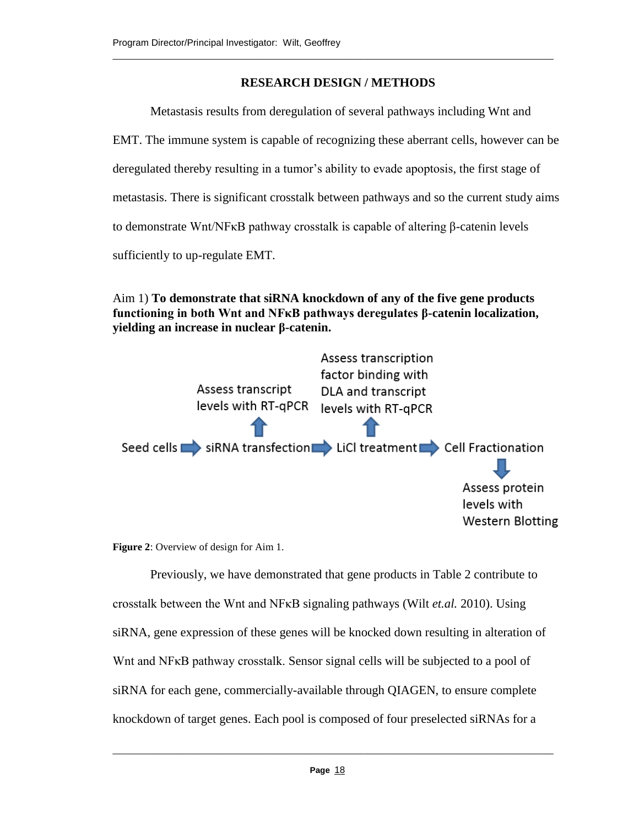# **RESEARCH DESIGN / METHODS**

\_\_\_\_\_\_\_\_\_\_\_\_\_\_\_\_\_\_\_\_\_\_\_\_\_\_\_\_\_\_\_\_\_\_\_\_\_\_\_\_\_\_\_\_\_\_\_\_\_\_\_\_\_\_\_\_\_\_\_\_\_\_\_\_\_\_\_\_\_\_\_\_\_\_\_\_\_\_\_\_\_\_\_\_\_\_\_\_\_\_\_\_\_\_\_

Metastasis results from deregulation of several pathways including Wnt and

EMT. The immune system is capable of recognizing these aberrant cells, however can be

deregulated thereby resulting in a tumor's ability to evade apoptosis, the first stage of

metastasis. There is significant crosstalk between pathways and so the current study aims

to demonstrate Wnt/NFκB pathway crosstalk is capable of altering β-catenin levels

sufficiently to up-regulate EMT.

Aim 1) **To demonstrate that siRNA knockdown of any of the five gene products functioning in both Wnt and NFκB pathways deregulates β-catenin localization, yielding an increase in nuclear β-catenin.**



**Figure 2**: Overview of design for Aim 1.

Previously, we have demonstrated that gene products in Table 2 contribute to crosstalk between the Wnt and NFκB signaling pathways (Wilt *et.al.* 2010). Using siRNA, gene expression of these genes will be knocked down resulting in alteration of Wnt and NF<sub>K</sub>B pathway crosstalk. Sensor signal cells will be subjected to a pool of siRNA for each gene, commercially-available through QIAGEN, to ensure complete knockdown of target genes. Each pool is composed of four preselected siRNAs for a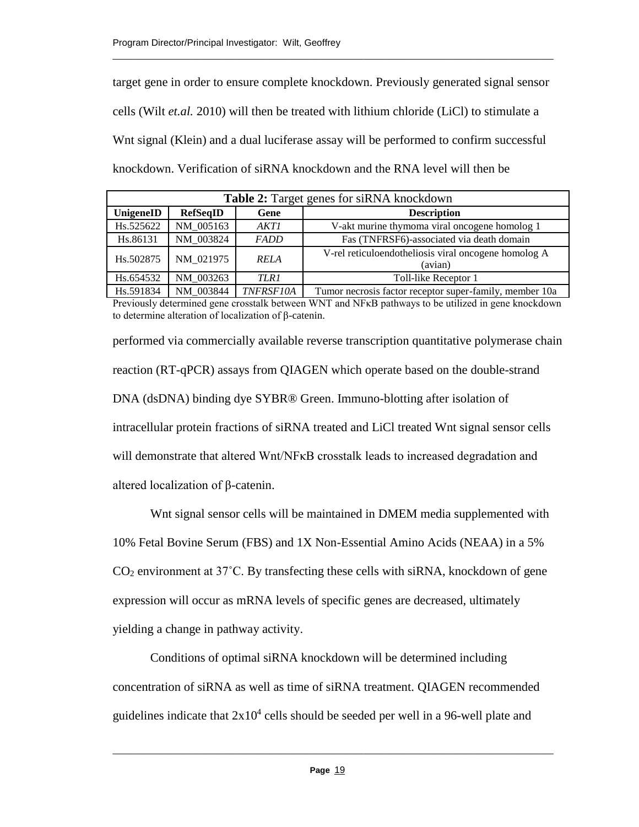target gene in order to ensure complete knockdown. Previously generated signal sensor cells (Wilt *et.al.* 2010) will then be treated with lithium chloride (LiCl) to stimulate a Wnt signal (Klein) and a dual luciferase assay will be performed to confirm successful knockdown. Verification of siRNA knockdown and the RNA level will then be

\_\_\_\_\_\_\_\_\_\_\_\_\_\_\_\_\_\_\_\_\_\_\_\_\_\_\_\_\_\_\_\_\_\_\_\_\_\_\_\_\_\_\_\_\_\_\_\_\_\_\_\_\_\_\_\_\_\_\_\_\_\_\_\_\_\_\_\_\_\_\_\_\_\_\_\_\_\_\_\_\_\_\_\_\_\_\_\_\_\_\_\_\_\_\_

| <b>Table 2:</b> Target genes for siRNA knockdown           |           |             |                                                                 |  |  |  |
|------------------------------------------------------------|-----------|-------------|-----------------------------------------------------------------|--|--|--|
| <b>RefSeqID</b><br><b>Description</b><br>UnigeneID<br>Gene |           |             |                                                                 |  |  |  |
| Hs.525622                                                  | NM 005163 | AKTI        | V-akt murine thymoma viral oncogene homolog 1                   |  |  |  |
| Hs.86131                                                   | NM 003824 | <b>FADD</b> | Fas (TNFRSF6)-associated via death domain                       |  |  |  |
| Hs.502875                                                  | NM 021975 | <b>RELA</b> | V-rel reticuloendotheliosis viral oncogene homolog A<br>(avian) |  |  |  |
| Hs.654532                                                  | NM 003263 | TLR1        | Toll-like Receptor 1                                            |  |  |  |
| $H_6$ , $501024$                                           | MM 002044 | TMEDCE104   | Tumor pequesta fector receptor super family member 10e          |  |  |  |

Hs.591834 NM\_003844 *TNFRSF10A* Tumor necrosis factor receptor super-family, member 10a Previously determined gene crosstalk between WNT and NFκB pathways to be utilized in gene knockdown to determine alteration of localization of β-catenin.

performed via commercially available reverse transcription quantitative polymerase chain reaction (RT-qPCR) assays from QIAGEN which operate based on the double-strand DNA (dsDNA) binding dye SYBR® Green. Immuno-blotting after isolation of intracellular protein fractions of siRNA treated and LiCl treated Wnt signal sensor cells will demonstrate that altered Wnt/NF<sub>KB</sub> crosstalk leads to increased degradation and altered localization of β-catenin.

Wnt signal sensor cells will be maintained in DMEM media supplemented with 10% Fetal Bovine Serum (FBS) and 1X Non-Essential Amino Acids (NEAA) in a 5%  $CO<sub>2</sub>$  environment at 37 $\degree$ C. By transfecting these cells with siRNA, knockdown of gene expression will occur as mRNA levels of specific genes are decreased, ultimately yielding a change in pathway activity.

Conditions of optimal siRNA knockdown will be determined including concentration of siRNA as well as time of siRNA treatment. QIAGEN recommended guidelines indicate that  $2x10^4$  cells should be seeded per well in a 96-well plate and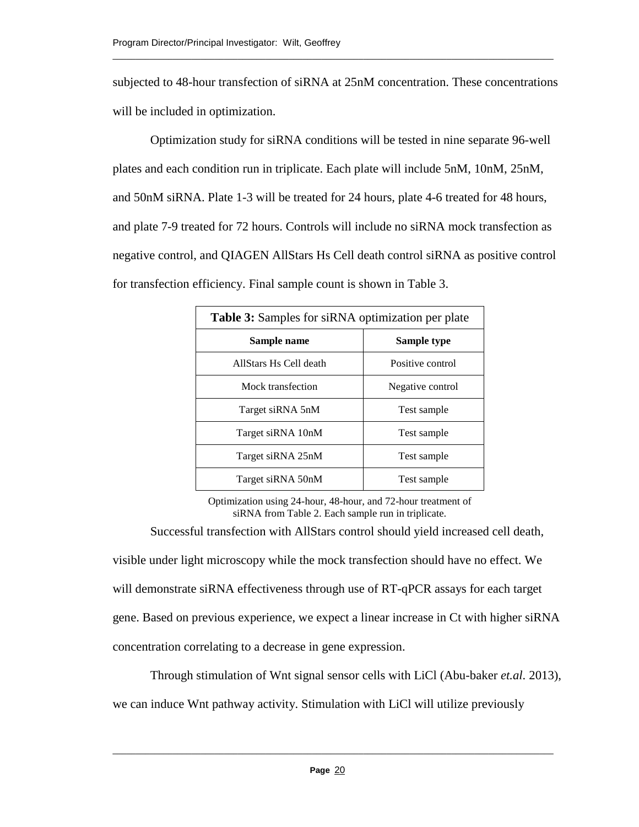subjected to 48-hour transfection of siRNA at 25nM concentration. These concentrations will be included in optimization.

\_\_\_\_\_\_\_\_\_\_\_\_\_\_\_\_\_\_\_\_\_\_\_\_\_\_\_\_\_\_\_\_\_\_\_\_\_\_\_\_\_\_\_\_\_\_\_\_\_\_\_\_\_\_\_\_\_\_\_\_\_\_\_\_\_\_\_\_\_\_\_\_\_\_\_\_\_\_\_\_\_\_\_\_\_\_\_\_\_\_\_\_\_\_\_

Optimization study for siRNA conditions will be tested in nine separate 96-well plates and each condition run in triplicate. Each plate will include 5nM, 10nM, 25nM, and 50nM siRNA. Plate 1-3 will be treated for 24 hours, plate 4-6 treated for 48 hours, and plate 7-9 treated for 72 hours. Controls will include no siRNA mock transfection as negative control, and QIAGEN AllStars Hs Cell death control siRNA as positive control for transfection efficiency. Final sample count is shown in Table 3.

| <b>Table 3:</b> Samples for siRNA optimization per plate |                  |  |  |  |
|----------------------------------------------------------|------------------|--|--|--|
| Sample name                                              | Sample type      |  |  |  |
| AllStars Hs Cell death                                   | Positive control |  |  |  |
| Mock transfection                                        | Negative control |  |  |  |
| Target siRNA 5nM                                         | Test sample      |  |  |  |
| Target siRNA 10nM                                        | Test sample      |  |  |  |
| Target siRNA 25nM                                        | Test sample      |  |  |  |
| Target siRNA 50nM                                        | Test sample      |  |  |  |

Optimization using 24-hour, 48-hour, and 72-hour treatment of siRNA from Table 2. Each sample run in triplicate.

Successful transfection with AllStars control should yield increased cell death, visible under light microscopy while the mock transfection should have no effect. We will demonstrate siRNA effectiveness through use of RT-qPCR assays for each target gene. Based on previous experience, we expect a linear increase in Ct with higher siRNA concentration correlating to a decrease in gene expression.

Through stimulation of Wnt signal sensor cells with LiCl (Abu-baker *et.al.* 2013), we can induce Wnt pathway activity. Stimulation with LiCl will utilize previously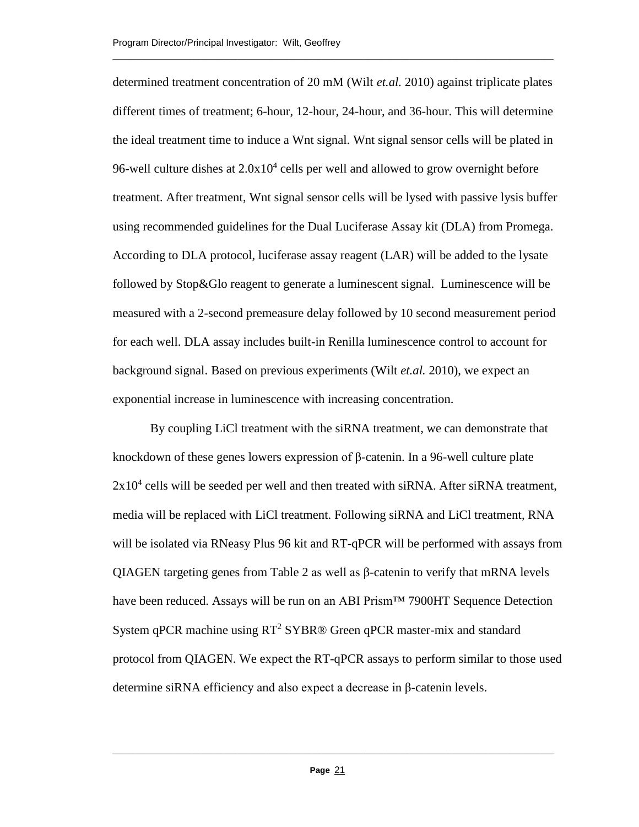determined treatment concentration of 20 mM (Wilt *et.al.* 2010) against triplicate plates different times of treatment; 6-hour, 12-hour, 24-hour, and 36-hour. This will determine the ideal treatment time to induce a Wnt signal. Wnt signal sensor cells will be plated in 96-well culture dishes at  $2.0x10^4$  cells per well and allowed to grow overnight before treatment. After treatment, Wnt signal sensor cells will be lysed with passive lysis buffer using recommended guidelines for the Dual Luciferase Assay kit (DLA) from Promega. According to DLA protocol, luciferase assay reagent (LAR) will be added to the lysate followed by Stop&Glo reagent to generate a luminescent signal. Luminescence will be measured with a 2-second premeasure delay followed by 10 second measurement period for each well. DLA assay includes built-in Renilla luminescence control to account for background signal. Based on previous experiments (Wilt *et.al.* 2010), we expect an exponential increase in luminescence with increasing concentration.

\_\_\_\_\_\_\_\_\_\_\_\_\_\_\_\_\_\_\_\_\_\_\_\_\_\_\_\_\_\_\_\_\_\_\_\_\_\_\_\_\_\_\_\_\_\_\_\_\_\_\_\_\_\_\_\_\_\_\_\_\_\_\_\_\_\_\_\_\_\_\_\_\_\_\_\_\_\_\_\_\_\_\_\_\_\_\_\_\_\_\_\_\_\_\_

By coupling LiCl treatment with the siRNA treatment, we can demonstrate that knockdown of these genes lowers expression of β-catenin. In a 96-well culture plate  $2x10<sup>4</sup>$  cells will be seeded per well and then treated with siRNA. After siRNA treatment, media will be replaced with LiCl treatment. Following siRNA and LiCl treatment, RNA will be isolated via RNeasy Plus 96 kit and RT-qPCR will be performed with assays from QIAGEN targeting genes from Table 2 as well as  $\beta$ -catenin to verify that mRNA levels have been reduced. Assays will be run on an ABI Prism™ 7900HT Sequence Detection System qPCR machine using  $RT^2$  SYBR® Green qPCR master-mix and standard protocol from QIAGEN. We expect the RT-qPCR assays to perform similar to those used determine siRNA efficiency and also expect a decrease in β-catenin levels.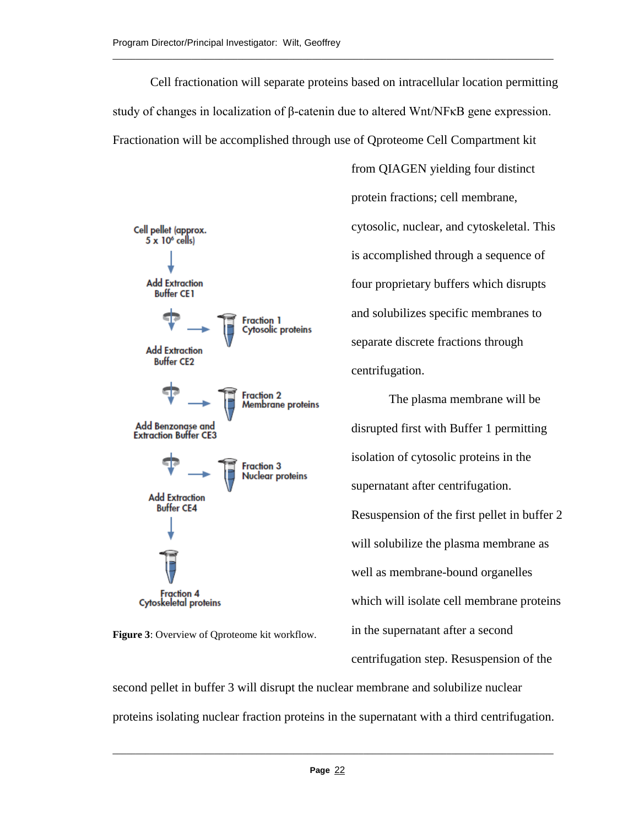Cell fractionation will separate proteins based on intracellular location permitting study of changes in localization of β-catenin due to altered Wnt/NFκB gene expression. Fractionation will be accomplished through use of Qproteome Cell Compartment kit

\_\_\_\_\_\_\_\_\_\_\_\_\_\_\_\_\_\_\_\_\_\_\_\_\_\_\_\_\_\_\_\_\_\_\_\_\_\_\_\_\_\_\_\_\_\_\_\_\_\_\_\_\_\_\_\_\_\_\_\_\_\_\_\_\_\_\_\_\_\_\_\_\_\_\_\_\_\_\_\_\_\_\_\_\_\_\_\_\_\_\_\_\_\_\_



**Figure 3**: Overview of Qproteome kit workflow.

from QIAGEN yielding four distinct protein fractions; cell membrane, cytosolic, nuclear, and cytoskeletal. This is accomplished through a sequence of four proprietary buffers which disrupts and solubilizes specific membranes to separate discrete fractions through centrifugation.

The plasma membrane will be disrupted first with Buffer 1 permitting isolation of cytosolic proteins in the supernatant after centrifugation. Resuspension of the first pellet in buffer 2 will solubilize the plasma membrane as well as membrane-bound organelles which will isolate cell membrane proteins in the supernatant after a second centrifugation step. Resuspension of the

second pellet in buffer 3 will disrupt the nuclear membrane and solubilize nuclear proteins isolating nuclear fraction proteins in the supernatant with a third centrifugation.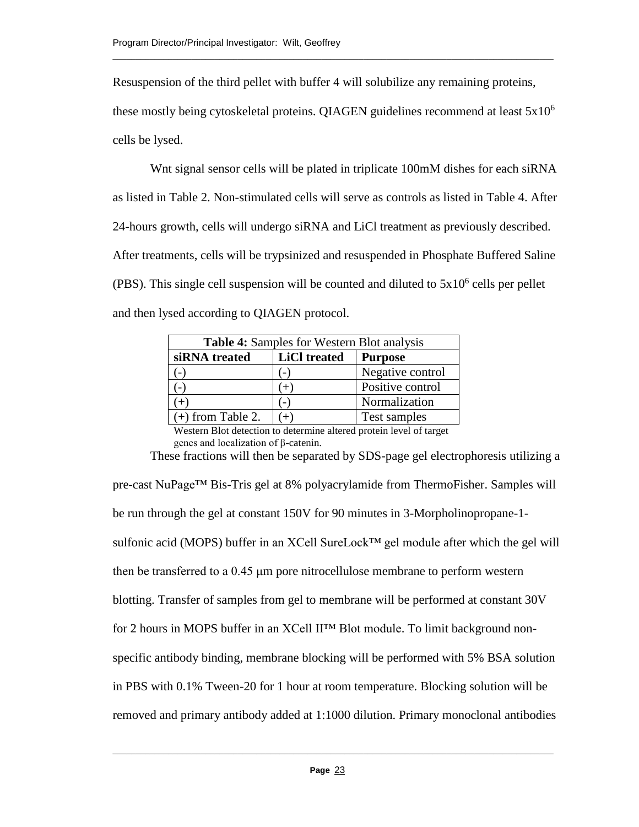Resuspension of the third pellet with buffer 4 will solubilize any remaining proteins,

\_\_\_\_\_\_\_\_\_\_\_\_\_\_\_\_\_\_\_\_\_\_\_\_\_\_\_\_\_\_\_\_\_\_\_\_\_\_\_\_\_\_\_\_\_\_\_\_\_\_\_\_\_\_\_\_\_\_\_\_\_\_\_\_\_\_\_\_\_\_\_\_\_\_\_\_\_\_\_\_\_\_\_\_\_\_\_\_\_\_\_\_\_\_\_

these mostly being cytoskeletal proteins. QIAGEN guidelines recommend at least  $5x10^6$ cells be lysed.

Wnt signal sensor cells will be plated in triplicate 100mM dishes for each siRNA as listed in Table 2. Non-stimulated cells will serve as controls as listed in Table 4. After 24-hours growth, cells will undergo siRNA and LiCl treatment as previously described. After treatments, cells will be trypsinized and resuspended in Phosphate Buffered Saline (PBS). This single cell suspension will be counted and diluted to  $5x10^6$  cells per pellet and then lysed according to QIAGEN protocol.

| Table 4: Samples for Western Blot analysis |                     |                  |  |  |  |  |
|--------------------------------------------|---------------------|------------------|--|--|--|--|
| siRNA treated                              | <b>LiCl</b> treated | <b>Purpose</b>   |  |  |  |  |
|                                            | $(-)$               | Negative control |  |  |  |  |
|                                            | $^{\prime}$ +,      | Positive control |  |  |  |  |
|                                            | ٠.,                 | Normalization    |  |  |  |  |
| $(+)$ from Table 2.                        | $^{+}$              | Test samples     |  |  |  |  |

Western Blot detection to determine altered protein level of target genes and localization of β-catenin. These fractions will then be separated by SDS-page gel electrophoresis utilizing a

pre-cast NuPage™ Bis-Tris gel at 8% polyacrylamide from ThermoFisher. Samples will be run through the gel at constant 150V for 90 minutes in 3-Morpholinopropane-1 sulfonic acid (MOPS) buffer in an XCell SureLock™ gel module after which the gel will then be transferred to a 0.45 μm pore nitrocellulose membrane to perform western blotting. Transfer of samples from gel to membrane will be performed at constant 30V for 2 hours in MOPS buffer in an XCell II™ Blot module. To limit background nonspecific antibody binding, membrane blocking will be performed with 5% BSA solution in PBS with 0.1% Tween-20 for 1 hour at room temperature. Blocking solution will be removed and primary antibody added at 1:1000 dilution. Primary monoclonal antibodies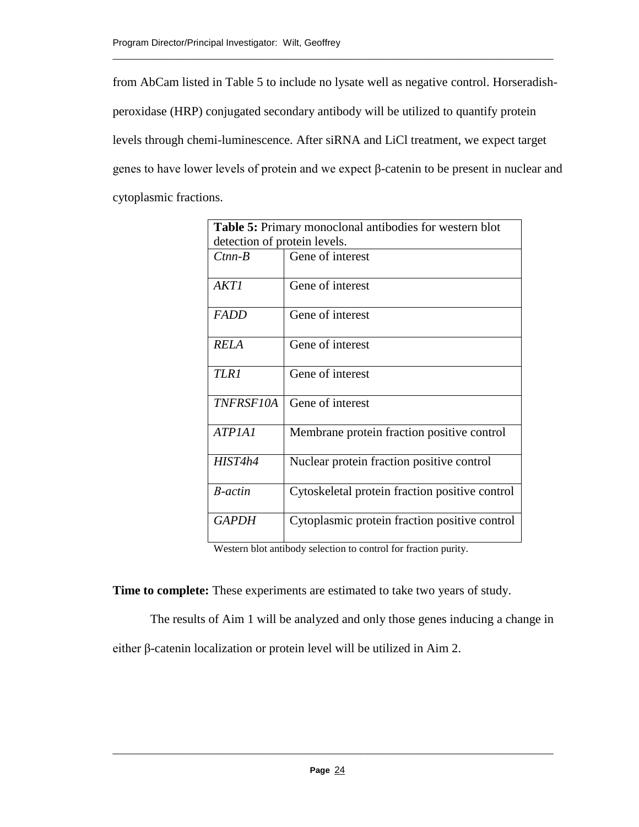from AbCam listed in Table 5 to include no lysate well as negative control. Horseradishperoxidase (HRP) conjugated secondary antibody will be utilized to quantify protein levels through chemi-luminescence. After siRNA and LiCl treatment, we expect target genes to have lower levels of protein and we expect β-catenin to be present in nuclear and cytoplasmic fractions.

\_\_\_\_\_\_\_\_\_\_\_\_\_\_\_\_\_\_\_\_\_\_\_\_\_\_\_\_\_\_\_\_\_\_\_\_\_\_\_\_\_\_\_\_\_\_\_\_\_\_\_\_\_\_\_\_\_\_\_\_\_\_\_\_\_\_\_\_\_\_\_\_\_\_\_\_\_\_\_\_\_\_\_\_\_\_\_\_\_\_\_\_\_\_\_

| <b>Table 5:</b> Primary monoclonal antibodies for western blot |                                                |  |  |  |  |
|----------------------------------------------------------------|------------------------------------------------|--|--|--|--|
| detection of protein levels.                                   |                                                |  |  |  |  |
| $C$ tnn- $B$                                                   | Gene of interest                               |  |  |  |  |
| AKTI                                                           | Gene of interest                               |  |  |  |  |
| <b>FADD</b>                                                    | Gene of interest                               |  |  |  |  |
| <i>RELA</i>                                                    | Gene of interest                               |  |  |  |  |
| <b>TLR1</b>                                                    | Gene of interest                               |  |  |  |  |
| <b>TNFRSF10A</b>                                               | Gene of interest                               |  |  |  |  |
| ATPIAI                                                         | Membrane protein fraction positive control     |  |  |  |  |
| HIST4h4                                                        | Nuclear protein fraction positive control      |  |  |  |  |
| <b>B</b> -actin                                                | Cytoskeletal protein fraction positive control |  |  |  |  |
| <i>GAPDH</i>                                                   | Cytoplasmic protein fraction positive control  |  |  |  |  |

Western blot antibody selection to control for fraction purity.

**Time to complete:** These experiments are estimated to take two years of study.

The results of Aim 1 will be analyzed and only those genes inducing a change in either β-catenin localization or protein level will be utilized in Aim 2.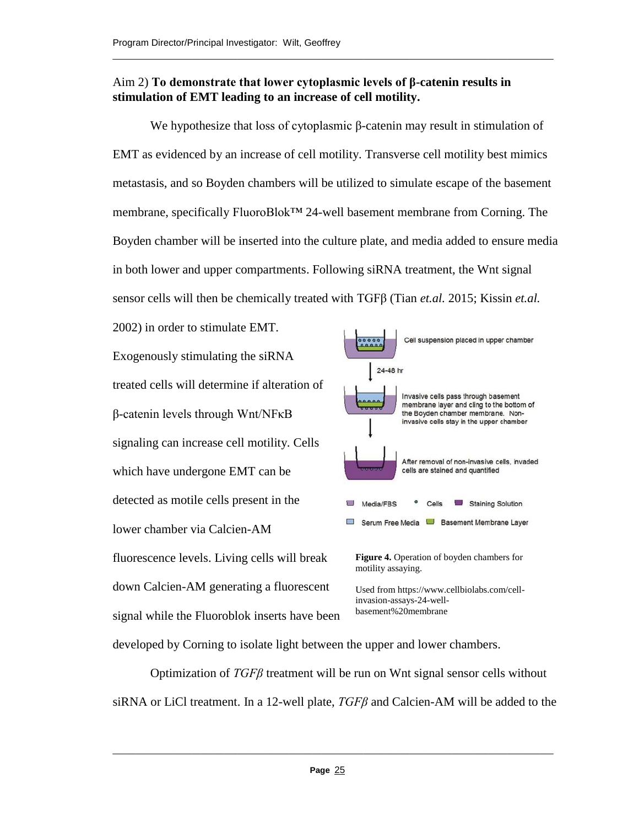# Aim 2) **To demonstrate that lower cytoplasmic levels of β-catenin results in stimulation of EMT leading to an increase of cell motility.**

\_\_\_\_\_\_\_\_\_\_\_\_\_\_\_\_\_\_\_\_\_\_\_\_\_\_\_\_\_\_\_\_\_\_\_\_\_\_\_\_\_\_\_\_\_\_\_\_\_\_\_\_\_\_\_\_\_\_\_\_\_\_\_\_\_\_\_\_\_\_\_\_\_\_\_\_\_\_\_\_\_\_\_\_\_\_\_\_\_\_\_\_\_\_\_

We hypothesize that loss of cytoplasmic β-catenin may result in stimulation of EMT as evidenced by an increase of cell motility. Transverse cell motility best mimics metastasis, and so Boyden chambers will be utilized to simulate escape of the basement membrane, specifically FluoroBlok™ 24-well basement membrane from Corning. The Boyden chamber will be inserted into the culture plate, and media added to ensure media in both lower and upper compartments. Following siRNA treatment, the Wnt signal sensor cells will then be chemically treated with TGFβ (Tian *et.al.* 2015; Kissin *et.al.* 

2002) in order to stimulate EMT. Exogenously stimulating the siRNA treated cells will determine if alteration of β-catenin levels through Wnt/NFκB signaling can increase cell motility. Cells which have undergone EMT can be detected as motile cells present in the lower chamber via Calcien-AM fluorescence levels. Living cells will break down Calcien-AM generating a fluorescent signal while the Fluoroblok inserts have been



Used from https://www.cellbiolabs.com/cellinvasion-assays-24-wellbasement%20membrane

developed by Corning to isolate light between the upper and lower chambers.

Optimization of *TGFβ* treatment will be run on Wnt signal sensor cells without siRNA or LiCl treatment. In a 12-well plate, *TGFβ* and Calcien-AM will be added to the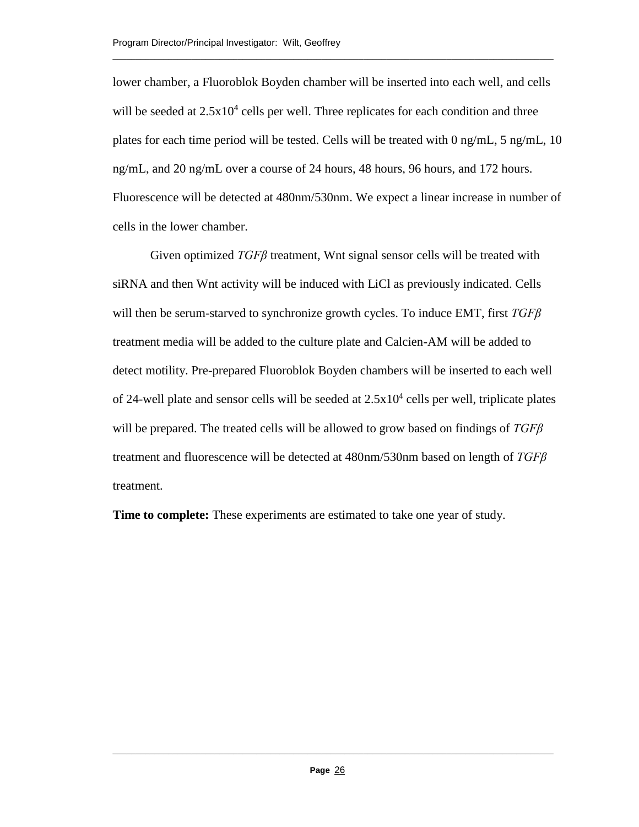lower chamber, a Fluoroblok Boyden chamber will be inserted into each well, and cells will be seeded at  $2.5x10^4$  cells per well. Three replicates for each condition and three plates for each time period will be tested. Cells will be treated with 0 ng/mL, 5 ng/mL, 10 ng/mL, and 20 ng/mL over a course of 24 hours, 48 hours, 96 hours, and 172 hours. Fluorescence will be detected at 480nm/530nm. We expect a linear increase in number of cells in the lower chamber.

\_\_\_\_\_\_\_\_\_\_\_\_\_\_\_\_\_\_\_\_\_\_\_\_\_\_\_\_\_\_\_\_\_\_\_\_\_\_\_\_\_\_\_\_\_\_\_\_\_\_\_\_\_\_\_\_\_\_\_\_\_\_\_\_\_\_\_\_\_\_\_\_\_\_\_\_\_\_\_\_\_\_\_\_\_\_\_\_\_\_\_\_\_\_\_

Given optimized *TGFβ* treatment, Wnt signal sensor cells will be treated with siRNA and then Wnt activity will be induced with LiCl as previously indicated. Cells will then be serum-starved to synchronize growth cycles. To induce EMT, first *TGFβ* treatment media will be added to the culture plate and Calcien-AM will be added to detect motility. Pre-prepared Fluoroblok Boyden chambers will be inserted to each well of 24-well plate and sensor cells will be seeded at  $2.5x10^4$  cells per well, triplicate plates will be prepared. The treated cells will be allowed to grow based on findings of *TGFβ* treatment and fluorescence will be detected at 480nm/530nm based on length of *TGFβ* treatment.

**Time to complete:** These experiments are estimated to take one year of study.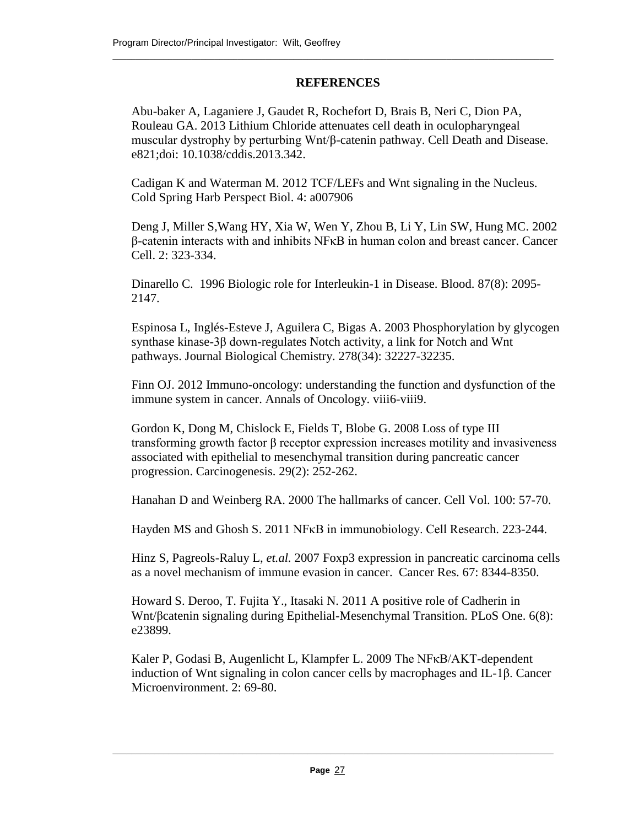# **REFERENCES**

\_\_\_\_\_\_\_\_\_\_\_\_\_\_\_\_\_\_\_\_\_\_\_\_\_\_\_\_\_\_\_\_\_\_\_\_\_\_\_\_\_\_\_\_\_\_\_\_\_\_\_\_\_\_\_\_\_\_\_\_\_\_\_\_\_\_\_\_\_\_\_\_\_\_\_\_\_\_\_\_\_\_\_\_\_\_\_\_\_\_\_\_\_\_\_

Abu-baker A, Laganiere J, Gaudet R, Rochefort D, Brais B, Neri C, Dion PA, Rouleau GA. 2013 Lithium Chloride attenuates cell death in oculopharyngeal muscular dystrophy by perturbing Wnt/β-catenin pathway. Cell Death and Disease. e821;doi: 10.1038/cddis.2013.342.

Cadigan K and Waterman M. 2012 TCF/LEFs and Wnt signaling in the Nucleus. Cold Spring Harb Perspect Biol. 4: a007906

Deng J, Miller S,Wang HY, Xia W, Wen Y, Zhou B, Li Y, Lin SW, Hung MC. 2002 β-catenin interacts with and inhibits NFκB in human colon and breast cancer. Cancer Cell. 2: 323-334.

Dinarello C. 1996 Biologic role for Interleukin-1 in Disease. Blood. 87(8): 2095- 2147.

Espinosa L, Inglés-Esteve J, Aguilera C, Bigas A. 2003 Phosphorylation by glycogen synthase kinase-3β down-regulates Notch activity, a link for Notch and Wnt pathways. Journal Biological Chemistry. 278(34): 32227-32235.

Finn OJ. 2012 Immuno-oncology: understanding the function and dysfunction of the immune system in cancer. Annals of Oncology. viii6-viii9.

Gordon K, Dong M, Chislock E, Fields T, Blobe G. 2008 Loss of type III transforming growth factor β receptor expression increases motility and invasiveness associated with epithelial to mesenchymal transition during pancreatic cancer progression. Carcinogenesis. 29(2): 252-262.

Hanahan D and Weinberg RA. 2000 The hallmarks of cancer. Cell Vol. 100: 57-70.

Hayden MS and Ghosh S. 2011 NFκB in immunobiology. Cell Research. 223-244.

Hinz S, Pagreols-Raluy L, *et.al.* 2007 Foxp3 expression in pancreatic carcinoma cells as a novel mechanism of immune evasion in cancer. Cancer Res. 67: 8344-8350.

Howard S. Deroo, T. Fujita Y., Itasaki N. 2011 A positive role of Cadherin in Wnt/βcatenin signaling during Epithelial-Mesenchymal Transition. PLoS One. 6(8): e23899.

Kaler P, Godasi B, Augenlicht L, Klampfer L. 2009 The NFκB/AKT-dependent induction of Wnt signaling in colon cancer cells by macrophages and IL-1β. Cancer Microenvironment. 2: 69-80.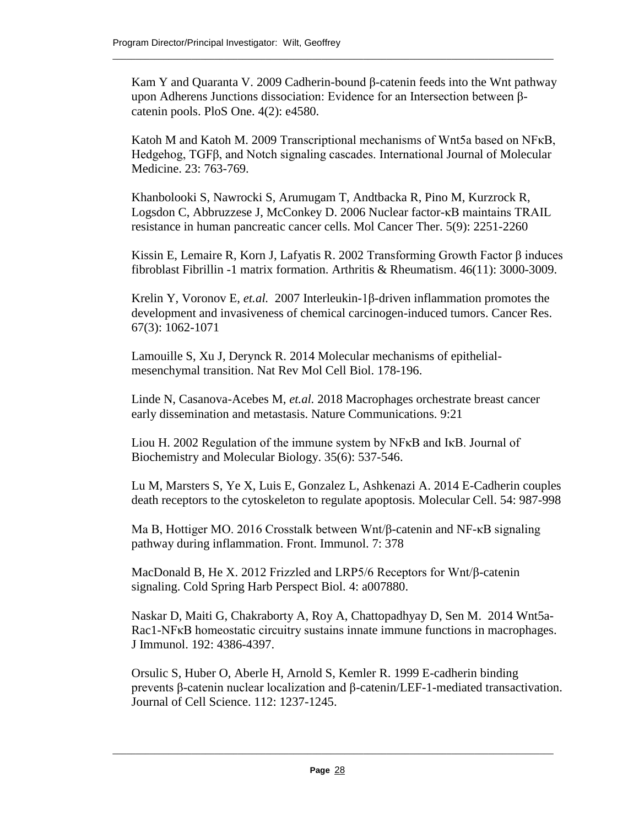Kam Y and Quaranta V. 2009 Cadherin-bound β-catenin feeds into the Wnt pathway upon Adherens Junctions dissociation: Evidence for an Intersection between βcatenin pools. PloS One. 4(2): e4580.

\_\_\_\_\_\_\_\_\_\_\_\_\_\_\_\_\_\_\_\_\_\_\_\_\_\_\_\_\_\_\_\_\_\_\_\_\_\_\_\_\_\_\_\_\_\_\_\_\_\_\_\_\_\_\_\_\_\_\_\_\_\_\_\_\_\_\_\_\_\_\_\_\_\_\_\_\_\_\_\_\_\_\_\_\_\_\_\_\_\_\_\_\_\_\_

Katoh M and Katoh M. 2009 Transcriptional mechanisms of Wnt5a based on NFκB, Hedgehog, TGFβ, and Notch signaling cascades. International Journal of Molecular Medicine. 23: 763-769.

Khanbolooki S, Nawrocki S, Arumugam T, Andtbacka R, Pino M, Kurzrock R, Logsdon C, Abbruzzese J, McConkey D. 2006 Nuclear factor-κB maintains TRAIL resistance in human pancreatic cancer cells. Mol Cancer Ther. 5(9): 2251-2260

Kissin E, Lemaire R, Korn J, Lafyatis R. 2002 Transforming Growth Factor β induces fibroblast Fibrillin -1 matrix formation. Arthritis & Rheumatism. 46(11): 3000-3009.

Krelin Y, Voronov E, *et.al.* 2007 Interleukin-1β-driven inflammation promotes the development and invasiveness of chemical carcinogen-induced tumors. Cancer Res. 67(3): 1062-1071

Lamouille S, Xu J, Derynck R. 2014 Molecular mechanisms of epithelialmesenchymal transition. Nat Rev Mol Cell Biol. 178-196.

Linde N, Casanova-Acebes M, *et.al.* 2018 Macrophages orchestrate breast cancer early dissemination and metastasis. Nature Communications. 9:21

Liou H. 2002 Regulation of the immune system by NFκB and IκB. Journal of Biochemistry and Molecular Biology. 35(6): 537-546.

Lu M, Marsters S, Ye X, Luis E, Gonzalez L, Ashkenazi A. 2014 E-Cadherin couples death receptors to the cytoskeleton to regulate apoptosis. Molecular Cell. 54: 987-998

Ma B, Hottiger MO. 2016 Crosstalk between Wnt/β-catenin and NF-κB signaling pathway during inflammation. Front. Immunol. 7: 378

MacDonald B, He X. 2012 Frizzled and LRP5/6 Receptors for Wnt/β-catenin signaling. Cold Spring Harb Perspect Biol. 4: a007880.

Naskar D, Maiti G, Chakraborty A, Roy A, Chattopadhyay D, Sen M. 2014 Wnt5a-Rac1-NF<sub>K</sub>B homeostatic circuitry sustains innate immune functions in macrophages. J Immunol. 192: 4386-4397.

Orsulic S, Huber O, Aberle H, Arnold S, Kemler R. 1999 E-cadherin binding prevents β-catenin nuclear localization and β-catenin/LEF-1-mediated transactivation. Journal of Cell Science. 112: 1237-1245.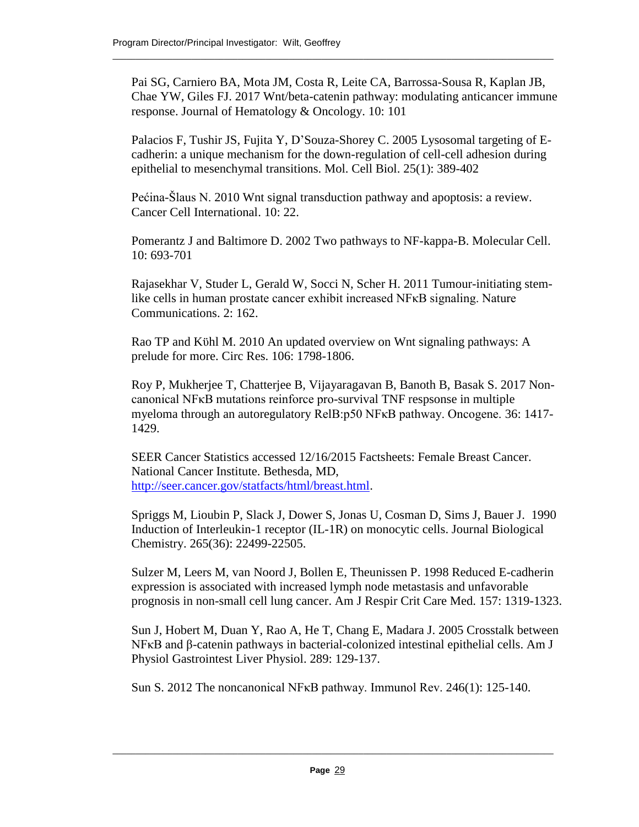Pai SG, Carniero BA, Mota JM, Costa R, Leite CA, Barrossa-Sousa R, Kaplan JB, Chae YW, Giles FJ. 2017 Wnt/beta-catenin pathway: modulating anticancer immune response. Journal of Hematology & Oncology. 10: 101

\_\_\_\_\_\_\_\_\_\_\_\_\_\_\_\_\_\_\_\_\_\_\_\_\_\_\_\_\_\_\_\_\_\_\_\_\_\_\_\_\_\_\_\_\_\_\_\_\_\_\_\_\_\_\_\_\_\_\_\_\_\_\_\_\_\_\_\_\_\_\_\_\_\_\_\_\_\_\_\_\_\_\_\_\_\_\_\_\_\_\_\_\_\_\_

Palacios F, Tushir JS, Fujita Y, D'Souza-Shorey C. 2005 Lysosomal targeting of Ecadherin: a unique mechanism for the down-regulation of cell-cell adhesion during epithelial to mesenchymal transitions. Mol. Cell Biol. 25(1): 389-402

Pećina-Šlaus N. 2010 Wnt signal transduction pathway and apoptosis: a review. Cancer Cell International. 10: 22.

Pomerantz J and Baltimore D. 2002 Two pathways to NF-kappa-B. Molecular Cell. 10: 693-701

Rajasekhar V, Studer L, Gerald W, Socci N, Scher H. 2011 Tumour-initiating stemlike cells in human prostate cancer exhibit increased NFκB signaling. Nature Communications. 2: 162.

Rao TP and Kϋhl M. 2010 An updated overview on Wnt signaling pathways: A prelude for more. Circ Res. 106: 1798-1806.

Roy P, Mukherjee T, Chatterjee B, Vijayaragavan B, Banoth B, Basak S. 2017 Noncanonical NFκB mutations reinforce pro-survival TNF respsonse in multiple myeloma through an autoregulatory RelB:p50 NFκB pathway. Oncogene. 36: 1417- 1429.

SEER Cancer Statistics accessed 12/16/2015 Factsheets: Female Breast Cancer. National Cancer Institute. Bethesda, MD, [http://seer.cancer.gov/statfacts/html/breast.html.](http://seer.cancer.gov/statfacts/html/breast.html)

Spriggs M, Lioubin P, Slack J, Dower S, Jonas U, Cosman D, Sims J, Bauer J. 1990 Induction of Interleukin-1 receptor (IL-1R) on monocytic cells. Journal Biological Chemistry. 265(36): 22499-22505.

Sulzer M, Leers M, van Noord J, Bollen E, Theunissen P. 1998 Reduced E-cadherin expression is associated with increased lymph node metastasis and unfavorable prognosis in non-small cell lung cancer. Am J Respir Crit Care Med. 157: 1319-1323.

Sun J, Hobert M, Duan Y, Rao A, He T, Chang E, Madara J. 2005 Crosstalk between NFκB and β-catenin pathways in bacterial-colonized intestinal epithelial cells. Am J Physiol Gastrointest Liver Physiol. 289: 129-137.

Sun S. 2012 The noncanonical NFκB pathway. Immunol Rev. 246(1): 125-140.